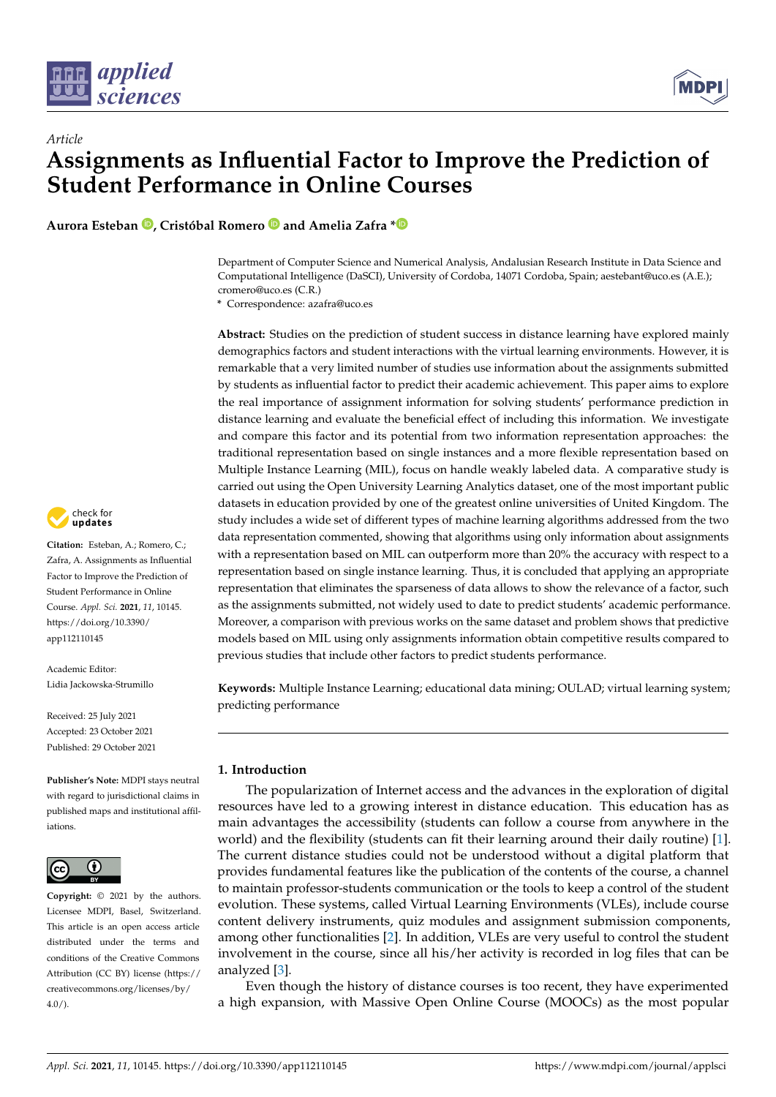

# *Article* **Assignments as Influential Factor to Improve the Prediction of Student Performance in Online Courses**

**Aurora Esteban [,](https://orcid.org/0000-0002-6290-5353) Cristóbal Romero and Amelia Zafra [\\*](https://orcid.org/0000-0003-3868-6143)**

Department of Computer Science and Numerical Analysis, Andalusian Research Institute in Data Science and Computational Intelligence (DaSCI), University of Cordoba, 14071 Cordoba, Spain; aestebant@uco.es (A.E.); cromero@uco.es (C.R.)

**\*** Correspondence: azafra@uco.es

**Abstract:** Studies on the prediction of student success in distance learning have explored mainly demographics factors and student interactions with the virtual learning environments. However, it is remarkable that a very limited number of studies use information about the assignments submitted by students as influential factor to predict their academic achievement. This paper aims to explore the real importance of assignment information for solving students' performance prediction in distance learning and evaluate the beneficial effect of including this information. We investigate and compare this factor and its potential from two information representation approaches: the traditional representation based on single instances and a more flexible representation based on Multiple Instance Learning (MIL), focus on handle weakly labeled data. A comparative study is carried out using the Open University Learning Analytics dataset, one of the most important public datasets in education provided by one of the greatest online universities of United Kingdom. The study includes a wide set of different types of machine learning algorithms addressed from the two data representation commented, showing that algorithms using only information about assignments with a representation based on MIL can outperform more than 20% the accuracy with respect to a representation based on single instance learning. Thus, it is concluded that applying an appropriate representation that eliminates the sparseness of data allows to show the relevance of a factor, such as the assignments submitted, not widely used to date to predict students' academic performance. Moreover, a comparison with previous works on the same dataset and problem shows that predictive models based on MIL using only assignments information obtain competitive results compared to previous studies that include other factors to predict students performance.

**Keywords:** Multiple Instance Learning; educational data mining; OULAD; virtual learning system; predicting performance

# **1. Introduction**

The popularization of Internet access and the advances in the exploration of digital resources have led to a growing interest in distance education. This education has as main advantages the accessibility (students can follow a course from anywhere in the world) and the flexibility (students can fit their learning around their daily routine) [\[1\]](#page-21-0). The current distance studies could not be understood without a digital platform that provides fundamental features like the publication of the contents of the course, a channel to maintain professor-students communication or the tools to keep a control of the student evolution. These systems, called Virtual Learning Environments (VLEs), include course content delivery instruments, quiz modules and assignment submission components, among other functionalities [\[2\]](#page-21-1). In addition, VLEs are very useful to control the student involvement in the course, since all his/her activity is recorded in log files that can be analyzed [\[3\]](#page-22-0).

Even though the history of distance courses is too recent, they have experimented a high expansion, with Massive Open Online Course (MOOCs) as the most popular



**Citation:** Esteban, A.; Romero, C.; Zafra, A. Assignments as Influential Factor to Improve the Prediction of Student Performance in Online Course. *Appl. Sci.* **2021**, *11*, 10145. [https://doi.org/10.3390/](https://doi.org/10.3390/app112110145) [app112110145](https://doi.org/10.3390/app112110145)

Academic Editor: Lidia Jackowska-Strumillo

Received: 25 July 2021 Accepted: 23 October 2021 Published: 29 October 2021

**Publisher's Note:** MDPI stays neutral with regard to jurisdictional claims in published maps and institutional affiliations.



**Copyright:** © 2021 by the authors. Licensee MDPI, Basel, Switzerland. This article is an open access article distributed under the terms and conditions of the Creative Commons Attribution (CC BY) license (https:/[/](https://creativecommons.org/licenses/by/4.0/) [creativecommons.org/licenses/by/](https://creativecommons.org/licenses/by/4.0/)  $4.0/$ ).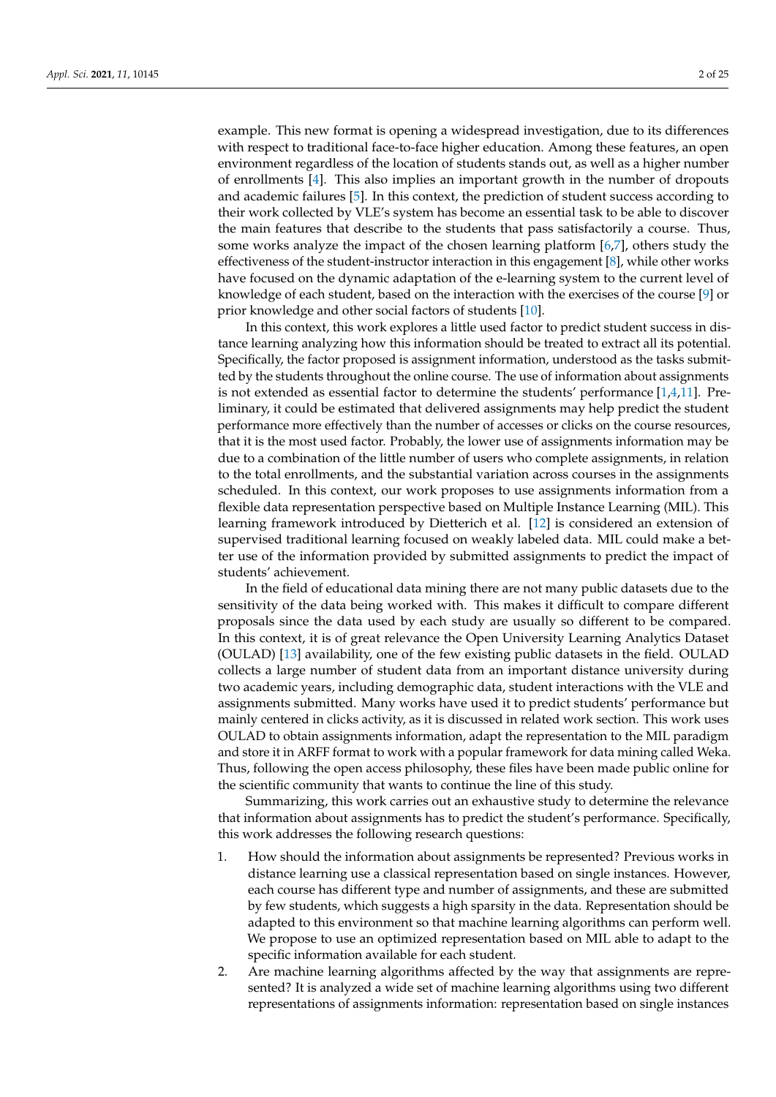example. This new format is opening a widespread investigation, due to its differences with respect to traditional face-to-face higher education. Among these features, an open environment regardless of the location of students stands out, as well as a higher number of enrollments [\[4\]](#page-22-1). This also implies an important growth in the number of dropouts and academic failures [\[5\]](#page-22-2). In this context, the prediction of student success according to their work collected by VLE's system has become an essential task to be able to discover the main features that describe to the students that pass satisfactorily a course. Thus, some works analyze the impact of the chosen learning platform [\[6](#page-22-3)[,7\]](#page-22-4), others study the effectiveness of the student-instructor interaction in this engagement [\[8\]](#page-22-5), while other works have focused on the dynamic adaptation of the e-learning system to the current level of knowledge of each student, based on the interaction with the exercises of the course [\[9\]](#page-22-6) or prior knowledge and other social factors of students [\[10\]](#page-22-7).

In this context, this work explores a little used factor to predict student success in distance learning analyzing how this information should be treated to extract all its potential. Specifically, the factor proposed is assignment information, understood as the tasks submitted by the students throughout the online course. The use of information about assignments is not extended as essential factor to determine the students' performance  $[1,4,11]$  $[1,4,11]$  $[1,4,11]$ . Preliminary, it could be estimated that delivered assignments may help predict the student performance more effectively than the number of accesses or clicks on the course resources, that it is the most used factor. Probably, the lower use of assignments information may be due to a combination of the little number of users who complete assignments, in relation to the total enrollments, and the substantial variation across courses in the assignments scheduled. In this context, our work proposes to use assignments information from a flexible data representation perspective based on Multiple Instance Learning (MIL). This learning framework introduced by Dietterich et al. [\[12\]](#page-22-9) is considered an extension of supervised traditional learning focused on weakly labeled data. MIL could make a better use of the information provided by submitted assignments to predict the impact of students' achievement.

In the field of educational data mining there are not many public datasets due to the sensitivity of the data being worked with. This makes it difficult to compare different proposals since the data used by each study are usually so different to be compared. In this context, it is of great relevance the Open University Learning Analytics Dataset (OULAD) [\[13\]](#page-22-10) availability, one of the few existing public datasets in the field. OULAD collects a large number of student data from an important distance university during two academic years, including demographic data, student interactions with the VLE and assignments submitted. Many works have used it to predict students' performance but mainly centered in clicks activity, as it is discussed in related work section. This work uses OULAD to obtain assignments information, adapt the representation to the MIL paradigm and store it in ARFF format to work with a popular framework for data mining called Weka. Thus, following the open access philosophy, these files have been made public online for the scientific community that wants to continue the line of this study.

Summarizing, this work carries out an exhaustive study to determine the relevance that information about assignments has to predict the student's performance. Specifically, this work addresses the following research questions:

- 1. How should the information about assignments be represented? Previous works in distance learning use a classical representation based on single instances. However, each course has different type and number of assignments, and these are submitted by few students, which suggests a high sparsity in the data. Representation should be adapted to this environment so that machine learning algorithms can perform well. We propose to use an optimized representation based on MIL able to adapt to the specific information available for each student.
- 2. Are machine learning algorithms affected by the way that assignments are represented? It is analyzed a wide set of machine learning algorithms using two different representations of assignments information: representation based on single instances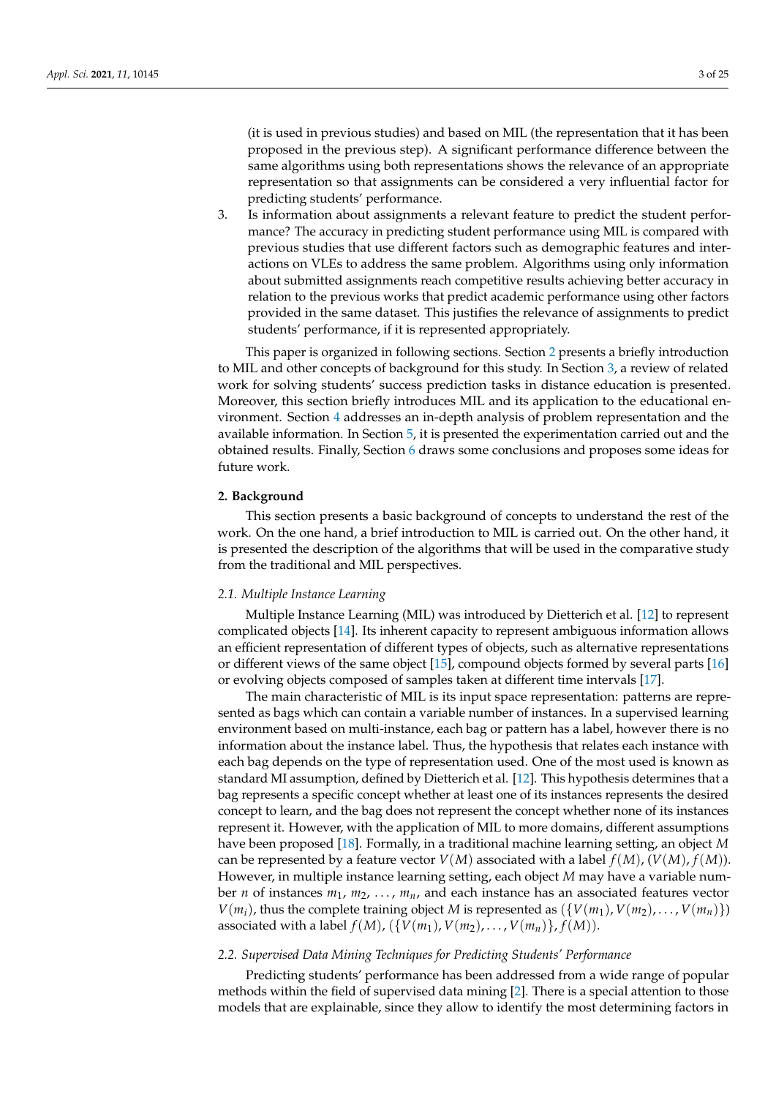(it is used in previous studies) and based on MIL (the representation that it has been proposed in the previous step). A significant performance difference between the same algorithms using both representations shows the relevance of an appropriate representation so that assignments can be considered a very influential factor for predicting students' performance.

3. Is information about assignments a relevant feature to predict the student performance? The accuracy in predicting student performance using MIL is compared with previous studies that use different factors such as demographic features and interactions on VLEs to address the same problem. Algorithms using only information about submitted assignments reach competitive results achieving better accuracy in relation to the previous works that predict academic performance using other factors provided in the same dataset. This justifies the relevance of assignments to predict students' performance, if it is represented appropriately.

This paper is organized in following sections. Section [2](#page-2-0) presents a briefly introduction to MIL and other concepts of background for this study. In Section [3,](#page-3-0) a review of related work for solving students' success prediction tasks in distance education is presented. Moreover, this section briefly introduces MIL and its application to the educational environment. Section [4](#page-6-0) addresses an in-depth analysis of problem representation and the available information. In Section [5,](#page-11-0) it is presented the experimentation carried out and the obtained results. Finally, Section [6](#page-21-2) draws some conclusions and proposes some ideas for future work.

#### <span id="page-2-0"></span>**2. Background**

This section presents a basic background of concepts to understand the rest of the work. On the one hand, a brief introduction to MIL is carried out. On the other hand, it is presented the description of the algorithms that will be used in the comparative study from the traditional and MIL perspectives.

#### *2.1. Multiple Instance Learning*

Multiple Instance Learning (MIL) was introduced by Dietterich et al. [\[12\]](#page-22-9) to represent complicated objects [\[14\]](#page-22-11). Its inherent capacity to represent ambiguous information allows an efficient representation of different types of objects, such as alternative representations or different views of the same object [\[15\]](#page-22-12), compound objects formed by several parts [\[16\]](#page-22-13) or evolving objects composed of samples taken at different time intervals [\[17\]](#page-22-14).

The main characteristic of MIL is its input space representation: patterns are represented as bags which can contain a variable number of instances. In a supervised learning environment based on multi-instance, each bag or pattern has a label, however there is no information about the instance label. Thus, the hypothesis that relates each instance with each bag depends on the type of representation used. One of the most used is known as standard MI assumption, defined by Dietterich et al. [\[12\]](#page-22-9). This hypothesis determines that a bag represents a specific concept whether at least one of its instances represents the desired concept to learn, and the bag does not represent the concept whether none of its instances represent it. However, with the application of MIL to more domains, different assumptions have been proposed [\[18\]](#page-22-15). Formally, in a traditional machine learning setting, an object *M* can be represented by a feature vector  $V(M)$  associated with a label  $f(M)$ ,  $(V(M)$ ,  $f(M)$ ). However, in multiple instance learning setting, each object *M* may have a variable number *n* of instances *m*1, *m*2, . . . , *mn*, and each instance has an associated features vector  $V(m_i)$ , thus the complete training object *M* is represented as  $\{V(m_1), V(m_2), \ldots, V(m_n)\}\$ associated with a label  $f(M)$ ,  $({V(m_1), V(m_2), \ldots, V(m_n)}$ ,  $f(M)$ ).

## <span id="page-2-1"></span>*2.2. Supervised Data Mining Techniques for Predicting Students' Performance*

Predicting students' performance has been addressed from a wide range of popular methods within the field of supervised data mining [\[2\]](#page-21-1). There is a special attention to those models that are explainable, since they allow to identify the most determining factors in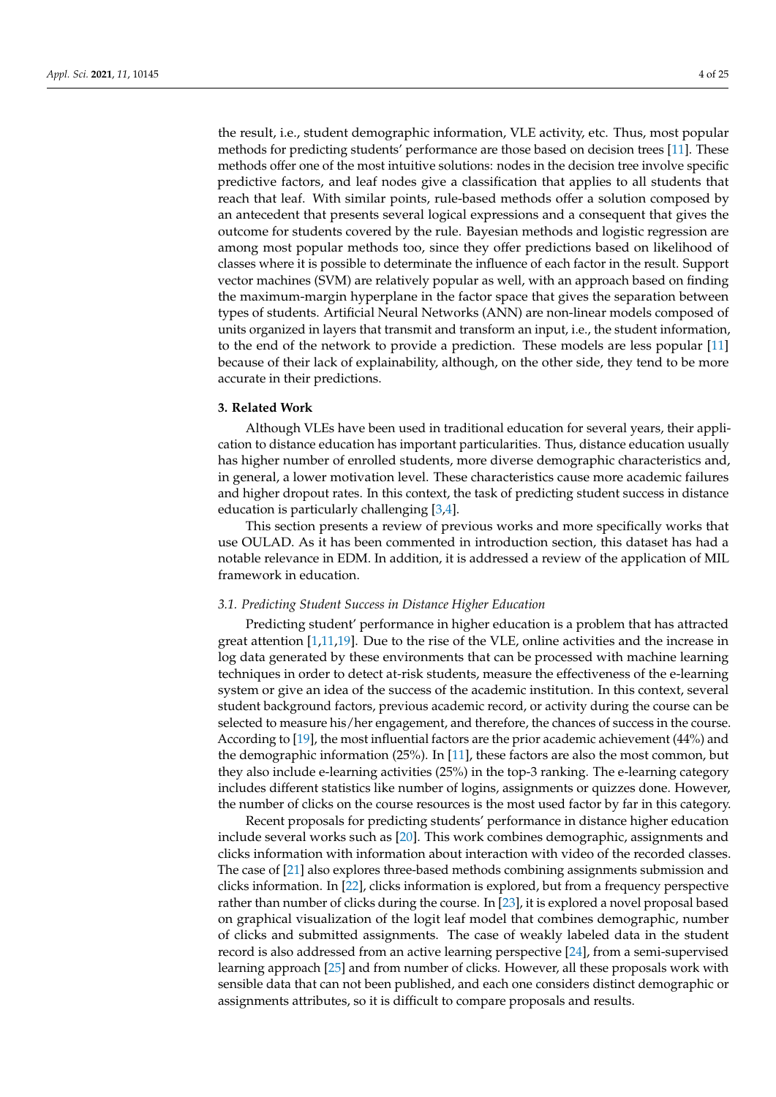the result, i.e., student demographic information, VLE activity, etc. Thus, most popular methods for predicting students' performance are those based on decision trees [\[11\]](#page-22-8). These methods offer one of the most intuitive solutions: nodes in the decision tree involve specific predictive factors, and leaf nodes give a classification that applies to all students that reach that leaf. With similar points, rule-based methods offer a solution composed by an antecedent that presents several logical expressions and a consequent that gives the outcome for students covered by the rule. Bayesian methods and logistic regression are among most popular methods too, since they offer predictions based on likelihood of classes where it is possible to determinate the influence of each factor in the result. Support vector machines (SVM) are relatively popular as well, with an approach based on finding the maximum-margin hyperplane in the factor space that gives the separation between types of students. Artificial Neural Networks (ANN) are non-linear models composed of units organized in layers that transmit and transform an input, i.e., the student information, to the end of the network to provide a prediction. These models are less popular [\[11\]](#page-22-8) because of their lack of explainability, although, on the other side, they tend to be more accurate in their predictions.

#### <span id="page-3-0"></span>**3. Related Work**

Although VLEs have been used in traditional education for several years, their application to distance education has important particularities. Thus, distance education usually has higher number of enrolled students, more diverse demographic characteristics and, in general, a lower motivation level. These characteristics cause more academic failures and higher dropout rates. In this context, the task of predicting student success in distance education is particularly challenging [\[3](#page-22-0)[,4\]](#page-22-1).

This section presents a review of previous works and more specifically works that use OULAD. As it has been commented in introduction section, this dataset has had a notable relevance in EDM. In addition, it is addressed a review of the application of MIL framework in education.

## *3.1. Predicting Student Success in Distance Higher Education*

Predicting student' performance in higher education is a problem that has attracted great attention [\[1,](#page-21-0)[11,](#page-22-8)[19\]](#page-22-16). Due to the rise of the VLE, online activities and the increase in log data generated by these environments that can be processed with machine learning techniques in order to detect at-risk students, measure the effectiveness of the e-learning system or give an idea of the success of the academic institution. In this context, several student background factors, previous academic record, or activity during the course can be selected to measure his/her engagement, and therefore, the chances of success in the course. According to [\[19\]](#page-22-16), the most influential factors are the prior academic achievement (44%) and the demographic information (25%). In [\[11\]](#page-22-8), these factors are also the most common, but they also include e-learning activities (25%) in the top-3 ranking. The e-learning category includes different statistics like number of logins, assignments or quizzes done. However, the number of clicks on the course resources is the most used factor by far in this category.

Recent proposals for predicting students' performance in distance higher education include several works such as [\[20\]](#page-22-17). This work combines demographic, assignments and clicks information with information about interaction with video of the recorded classes. The case of [\[21\]](#page-22-18) also explores three-based methods combining assignments submission and clicks information. In [\[22\]](#page-22-19), clicks information is explored, but from a frequency perspective rather than number of clicks during the course. In [\[23\]](#page-22-20), it is explored a novel proposal based on graphical visualization of the logit leaf model that combines demographic, number of clicks and submitted assignments. The case of weakly labeled data in the student record is also addressed from an active learning perspective [\[24\]](#page-22-21), from a semi-supervised learning approach [\[25\]](#page-22-22) and from number of clicks. However, all these proposals work with sensible data that can not been published, and each one considers distinct demographic or assignments attributes, so it is difficult to compare proposals and results.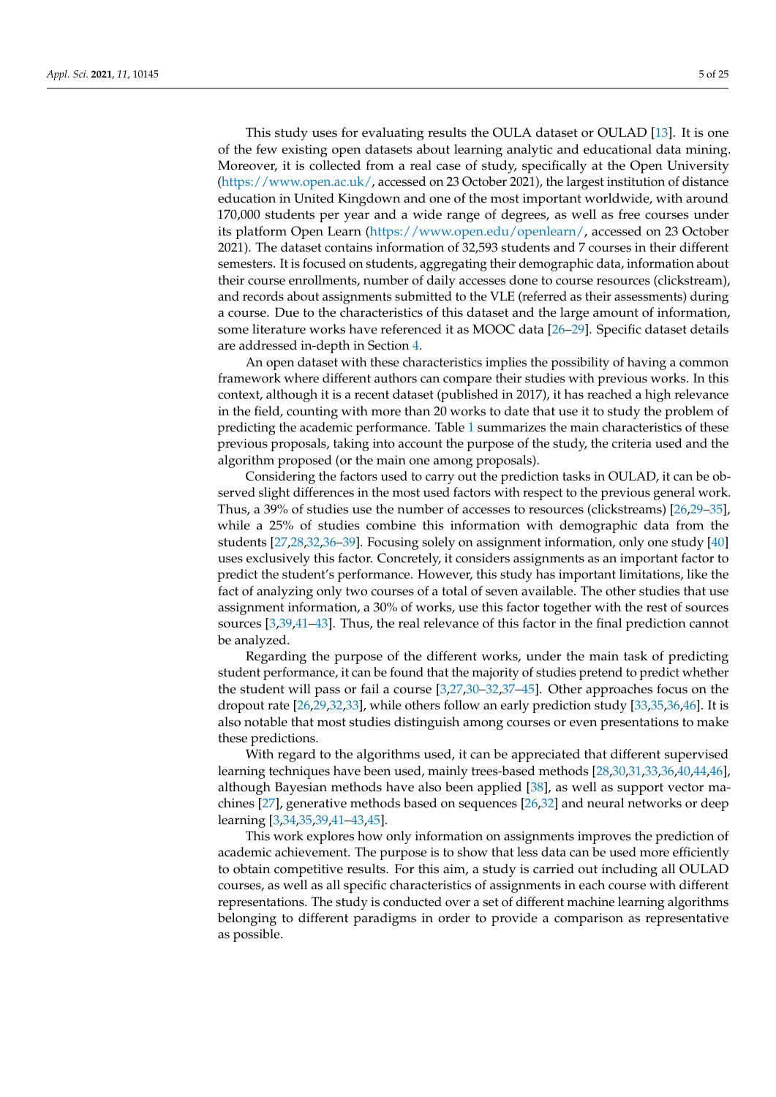This study uses for evaluating results the OULA dataset or OULAD [\[13\]](#page-22-10). It is one of the few existing open datasets about learning analytic and educational data mining. Moreover, it is collected from a real case of study, specifically at the Open University [\(https://www.open.ac.uk/,](https://www.open.ac.uk/) accessed on 23 October 2021), the largest institution of distance education in United Kingdown and one of the most important worldwide, with around 170,000 students per year and a wide range of degrees, as well as free courses under its platform Open Learn [\(https://www.open.edu/openlearn/,](https://www.open.edu/openlearn/) accessed on 23 October 2021). The dataset contains information of 32,593 students and 7 courses in their different semesters. It is focused on students, aggregating their demographic data, information about their course enrollments, number of daily accesses done to course resources (clickstream), and records about assignments submitted to the VLE (referred as their assessments) during a course. Due to the characteristics of this dataset and the large amount of information, some literature works have referenced it as MOOC data [\[26–](#page-22-23)[29\]](#page-22-24). Specific dataset details are addressed in-depth in Section [4.](#page-6-0)

An open dataset with these characteristics implies the possibility of having a common framework where different authors can compare their studies with previous works. In this context, although it is a recent dataset (published in 2017), it has reached a high relevance in the field, counting with more than 20 works to date that use it to study the problem of predicting the academic performance. Table [1](#page-5-0) summarizes the main characteristics of these previous proposals, taking into account the purpose of the study, the criteria used and the algorithm proposed (or the main one among proposals).

Considering the factors used to carry out the prediction tasks in OULAD, it can be observed slight differences in the most used factors with respect to the previous general work. Thus, a 39% of studies use the number of accesses to resources (clickstreams) [\[26](#page-22-23)[,29–](#page-22-24)[35\]](#page-23-0), while a 25% of studies combine this information with demographic data from the students [\[27,](#page-22-25)[28,](#page-22-26)[32,](#page-22-27)[36–](#page-23-1)[39\]](#page-23-2). Focusing solely on assignment information, only one study [\[40\]](#page-23-3) uses exclusively this factor. Concretely, it considers assignments as an important factor to predict the student's performance. However, this study has important limitations, like the fact of analyzing only two courses of a total of seven available. The other studies that use assignment information, a 30% of works, use this factor together with the rest of sources sources [\[3](#page-22-0)[,39](#page-23-2)[,41–](#page-23-4)[43\]](#page-23-5). Thus, the real relevance of this factor in the final prediction cannot be analyzed.

Regarding the purpose of the different works, under the main task of predicting student performance, it can be found that the majority of studies pretend to predict whether the student will pass or fail a course [\[3,](#page-22-0)[27](#page-22-25)[,30–](#page-22-28)[32](#page-22-27)[,37](#page-23-6)[–45\]](#page-23-7). Other approaches focus on the dropout rate [\[26,](#page-22-23)[29,](#page-22-24)[32](#page-22-27)[,33\]](#page-23-8), while others follow an early prediction study [\[33](#page-23-8)[,35](#page-23-0)[,36](#page-23-1)[,46\]](#page-23-9). It is also notable that most studies distinguish among courses or even presentations to make these predictions.

With regard to the algorithms used, it can be appreciated that different supervised learning techniques have been used, mainly trees-based methods [\[28,](#page-22-26)[30,](#page-22-28)[31](#page-22-29)[,33](#page-23-8)[,36](#page-23-1)[,40](#page-23-3)[,44](#page-23-10)[,46\]](#page-23-9), although Bayesian methods have also been applied [\[38\]](#page-23-11), as well as support vector machines [\[27\]](#page-22-25), generative methods based on sequences [\[26](#page-22-23)[,32\]](#page-22-27) and neural networks or deep learning [\[3,](#page-22-0)[34,](#page-23-12)[35,](#page-23-0)[39,](#page-23-2)[41](#page-23-4)[–43](#page-23-5)[,45\]](#page-23-7).

This work explores how only information on assignments improves the prediction of academic achievement. The purpose is to show that less data can be used more efficiently to obtain competitive results. For this aim, a study is carried out including all OULAD courses, as well as all specific characteristics of assignments in each course with different representations. The study is conducted over a set of different machine learning algorithms belonging to different paradigms in order to provide a comparison as representative as possible.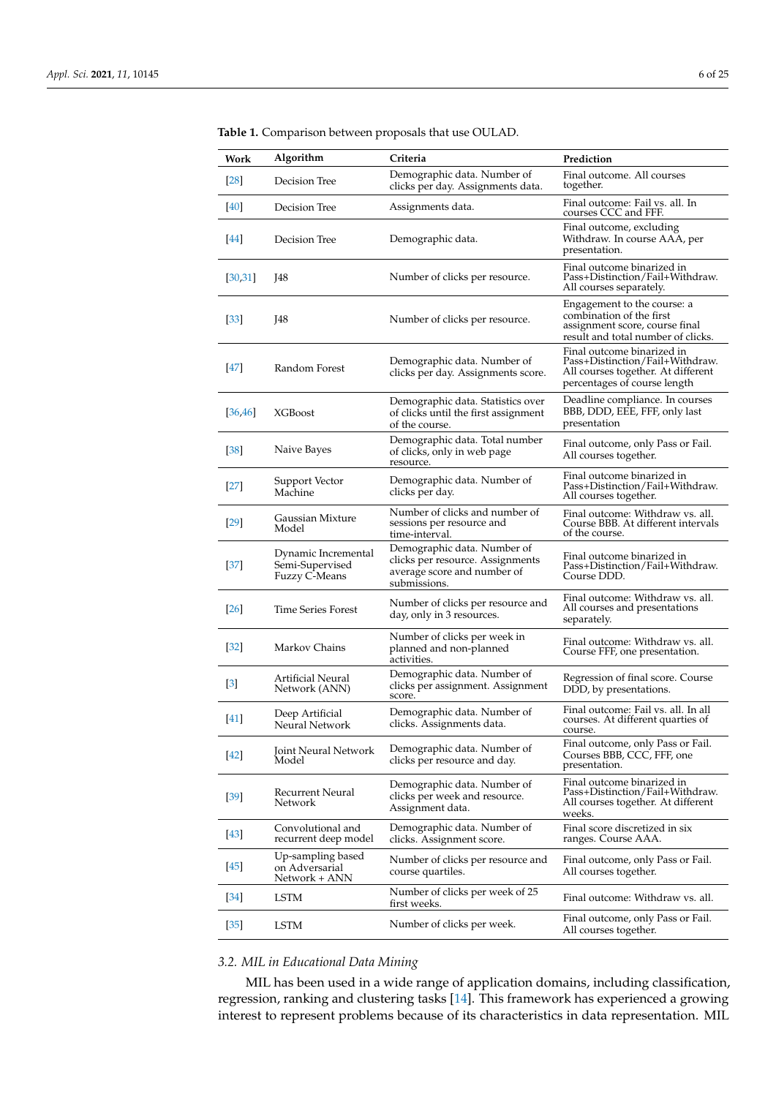| Work              | Algorithm                                                      | Criteria                                                                                                       | Prediction                                                                                                                          |
|-------------------|----------------------------------------------------------------|----------------------------------------------------------------------------------------------------------------|-------------------------------------------------------------------------------------------------------------------------------------|
| [28]              | Decision Tree                                                  | Demographic data. Number of<br>clicks per day. Assignments data.                                               | Final outcome. All courses<br>together.                                                                                             |
| [40]              | Decision Tree                                                  | Assignments data.                                                                                              | Final outcome: Fail vs. all. In<br>courses CCC and FFF.                                                                             |
| [44]              | Decision Tree                                                  | Demographic data.                                                                                              | Final outcome, excluding<br>Withdraw. In course AAA, per<br>presentation.                                                           |
| [30, 31]          | J48                                                            | Number of clicks per resource.                                                                                 | Final outcome binarized in<br>Pass+Distinction/Fail+Withdraw.<br>All courses separately.                                            |
| $[33]$            | J48                                                            | Number of clicks per resource.                                                                                 | Engagement to the course: a<br>combination of the first<br>assignment score, course final<br>result and total number of clicks.     |
| <b>47</b>         | Random Forest                                                  | Demographic data. Number of<br>clicks per day. Assignments score.                                              | Final outcome binarized in<br>Pass+Distinction/Fail+Withdraw.<br>All courses together. At different<br>percentages of course length |
| [36, 46]          | <b>XGBoost</b>                                                 | Demographic data. Statistics over<br>of clicks until the first assignment<br>of the course.                    | Deadline compliance. In courses<br>BBB, DDD, EEE, FFF, only last<br>presentation                                                    |
| $\left[38\right]$ | Naive Bayes                                                    | Demographic data. Total number<br>of clicks, only in web page<br>resource.                                     | Final outcome, only Pass or Fail.<br>All courses together.                                                                          |
| $[27]$            | Support Vector<br>Machine                                      | Demographic data. Number of<br>clicks per day.                                                                 | Final outcome binarized in<br>Pass+Distinction/Fail+Withdraw.<br>All courses together.                                              |
| [29]              | Gaussian Mixture<br>Model                                      | Number of clicks and number of<br>sessions per resource and<br>time-interval.                                  | Final outcome: Withdraw vs. all.<br>Course BBB. At different intervals<br>of the course.                                            |
| $[37]$            | Dynamic Incremental<br>Semi-Supervised<br><b>Fuzzy C-Means</b> | Demographic data. Number of<br>clicks per resource. Assignments<br>average score and number of<br>submissions. | Final outcome binarized in<br>Pass+Distinction/Fail+Withdraw.<br>Course DDD.                                                        |
| <b>26</b>         | Time Series Forest                                             | Number of clicks per resource and<br>day, only in 3 resources.                                                 | Final outcome: Withdraw vs. all.<br>All courses and presentations<br>separately.                                                    |
| $[32]$            | Markov Chains                                                  | Number of clicks per week in<br>planned and non-planned<br>activities.                                         | Final outcome: Withdraw vs. all.<br>Course FFF, one presentation.                                                                   |
| $\lceil 3 \rceil$ | Artificial Neural<br>Network (ANN)                             | Demographic data. Number of<br>clicks per assignment. Assignment<br>score.                                     | Regression of final score. Course<br>DDD, by presentations.                                                                         |
| $[41]$            | Deep Artificial<br>Neural Network                              | Demographic data. Number of<br>clicks. Assignments data.                                                       | Final outcome: Fail vs. all. In all<br>courses. At different quarties of<br>course.                                                 |
| [42]              | Joint Neural Network<br>Model                                  | Demographic data. Number of<br>clicks per resource and day.                                                    | Final outcome, only Pass or Fail.<br>Courses BBB, CCC, FFF, one<br>presentation.                                                    |
| $[39]$            | Recurrent Neural<br>Network                                    | Demographic data. Number of<br>clicks per week and resource.<br>Assignment data.                               | Final outcome binarized in<br>Pass+Distinction/Fail+Withdraw.<br>All courses together. At different<br>weeks.                       |
| [43]              | Convolutional and                                              | Demographic data. Number of                                                                                    | Final score discretized in six                                                                                                      |

Final score discretized in six ranges. Course AAA.

All courses together.

All courses together.

Final outcome, only Pass or Fail.

Final outcome: Withdraw vs. all.

<span id="page-5-0"></span>**Table 1.** Comparison between proposals that use OULAD.

# *3.2. MIL in Educational Data Mining*

Convolutional and recurrent deep model

Up-sampling based on Adversarial Network + ANN

[\[43\]](#page-23-5)

[\[45\]](#page-23-7)

MIL has been used in a wide range of application domains, including classification, regression, ranking and clustering tasks [\[14\]](#page-22-11). This framework has experienced a growing interest to represent problems because of its characteristics in data representation. MIL

clicks. Assignment score.

course quartiles.

[\[34\]](#page-23-12) LSTM Number of clicks per week of 25 first weeks.

Number of clicks per resource and

[\[35\]](#page-23-0) LSTM Number of clicks per week. Final outcome, only Pass or Fail.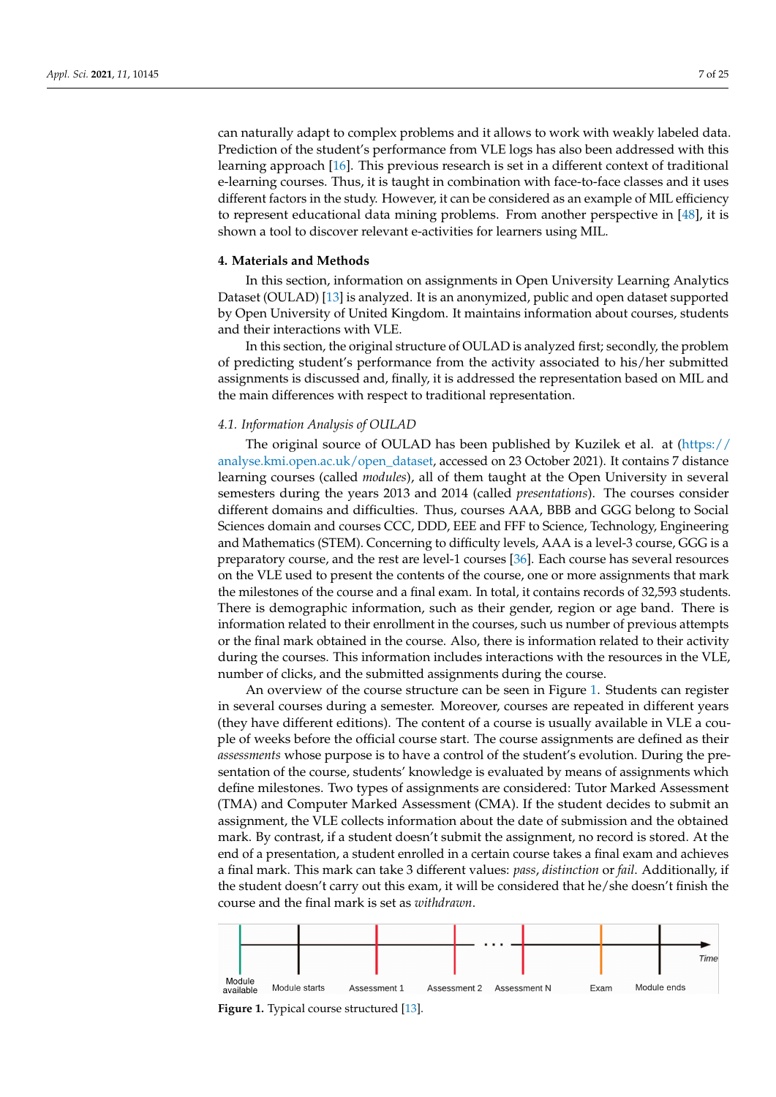can naturally adapt to complex problems and it allows to work with weakly labeled data. Prediction of the student's performance from VLE logs has also been addressed with this learning approach [\[16\]](#page-22-13). This previous research is set in a different context of traditional e-learning courses. Thus, it is taught in combination with face-to-face classes and it uses different factors in the study. However, it can be considered as an example of MIL efficiency to represent educational data mining problems. From another perspective in [\[48\]](#page-23-15), it is shown a tool to discover relevant e-activities for learners using MIL.

#### <span id="page-6-0"></span>**4. Materials and Methods**

In this section, information on assignments in Open University Learning Analytics Dataset (OULAD) [\[13\]](#page-22-10) is analyzed. It is an anonymized, public and open dataset supported by Open University of United Kingdom. It maintains information about courses, students and their interactions with VLE.

In this section, the original structure of OULAD is analyzed first; secondly, the problem of predicting student's performance from the activity associated to his/her submitted assignments is discussed and, finally, it is addressed the representation based on MIL and the main differences with respect to traditional representation.

#### *4.1. Information Analysis of OULAD*

The original source of OULAD has been published by Kuzilek et al. at [\(https://](https://analyse.kmi.open.ac.uk/open_dataset) [analyse.kmi.open.ac.uk/open\\_dataset,](https://analyse.kmi.open.ac.uk/open_dataset) accessed on 23 October 2021). It contains 7 distance learning courses (called *modules*), all of them taught at the Open University in several semesters during the years 2013 and 2014 (called *presentations*). The courses consider different domains and difficulties. Thus, courses AAA, BBB and GGG belong to Social Sciences domain and courses CCC, DDD, EEE and FFF to Science, Technology, Engineering and Mathematics (STEM). Concerning to difficulty levels, AAA is a level-3 course, GGG is a preparatory course, and the rest are level-1 courses [\[36\]](#page-23-1). Each course has several resources on the VLE used to present the contents of the course, one or more assignments that mark the milestones of the course and a final exam. In total, it contains records of 32,593 students. There is demographic information, such as their gender, region or age band. There is information related to their enrollment in the courses, such us number of previous attempts or the final mark obtained in the course. Also, there is information related to their activity during the courses. This information includes interactions with the resources in the VLE, number of clicks, and the submitted assignments during the course.

An overview of the course structure can be seen in Figure [1.](#page-6-1) Students can register in several courses during a semester. Moreover, courses are repeated in different years (they have different editions). The content of a course is usually available in VLE a couple of weeks before the official course start. The course assignments are defined as their *assessments* whose purpose is to have a control of the student's evolution. During the presentation of the course, students' knowledge is evaluated by means of assignments which define milestones. Two types of assignments are considered: Tutor Marked Assessment (TMA) and Computer Marked Assessment (CMA). If the student decides to submit an assignment, the VLE collects information about the date of submission and the obtained mark. By contrast, if a student doesn't submit the assignment, no record is stored. At the end of a presentation, a student enrolled in a certain course takes a final exam and achieves a final mark. This mark can take 3 different values: *pass*, *distinction* or *fail*. Additionally, if the student doesn't carry out this exam, it will be considered that he/she doesn't finish the course and the final mark is set as *withdrawn*.

<span id="page-6-1"></span>

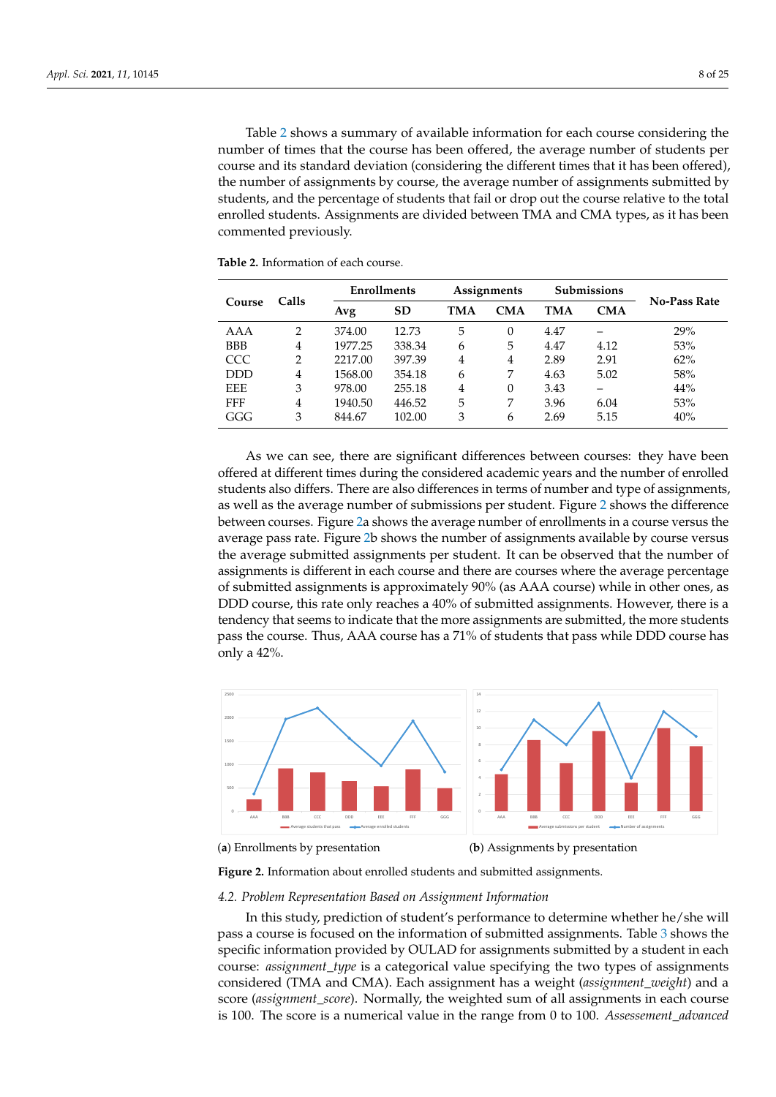Table [2](#page-7-0) shows a summary of available information for each course considering the number of times that the course has been offered, the average number of students per course and its standard deviation (considering the different times that it has been offered), the number of assignments by course, the average number of assignments submitted by students, and the percentage of students that fail or drop out the course relative to the total enrolled students. Assignments are divided between TMA and CMA types, as it has been commented previously.

|            |                |         | <b>Enrollments</b> |     | Assignments |      | <b>Submissions</b> | <b>No-Pass Rate</b> |
|------------|----------------|---------|--------------------|-----|-------------|------|--------------------|---------------------|
| Course     | Calls          | Avg     | <b>SD</b>          | TMA | <b>CMA</b>  | TMA  | <b>CMA</b>         |                     |
| AAA        | 2              | 374.00  | 12.73              | 5   | 0           | 4.47 |                    | 29%                 |
| <b>BBB</b> | $\overline{4}$ | 1977.25 | 338.34             | 6   | 5           | 4.47 | 4.12               | 53%                 |
| CCC        | 2              | 2217.00 | 397.39             | 4   | 4           | 2.89 | 2.91               | 62%                 |
| <b>DDD</b> | 4              | 1568.00 | 354.18             | 6   | 7           | 4.63 | 5.02               | 58%                 |
| <b>EEE</b> | 3              | 978.00  | 255.18             | 4   | 0           | 3.43 |                    | 44%                 |
| <b>FFF</b> | 4              | 1940.50 | 446.52             | 5   | 7           | 3.96 | 6.04               | 53%                 |
| GGG        | 3              | 844.67  | 102.00             | 3   | 6           | 2.69 | 5.15               | 40%                 |

<span id="page-7-0"></span>**Table 2.** Information of each course.

As we can see, there are significant differences between courses: they have been offered at different times during the considered academic years and the number of enrolled students also differs. There are also differences in terms of number and type of assignments, as well as the average number of submissions per student. Figure [2](#page-7-1) shows the difference between courses. Figure [2a](#page-7-1) shows the average number of enrollments in a course versus the average pass rate. Figure [2b](#page-7-1) shows the number of assignments available by course versus the average submitted assignments per student. It can be observed that the number of assignments is different in each course and there are courses where the average percentage of submitted assignments is approximately 90% (as AAA course) while in other ones, as DDD course, this rate only reaches a 40% of submitted assignments. However, there is a tendency that seems to indicate that the more assignments are submitted, the more students pass the course. Thus, AAA course has a 71% of students that pass while DDD course has only a 42%.

<span id="page-7-1"></span>

(**a**) Enrollments by presentation

(**b**) Assignments by presentation

**Figure 2.** Information about enrolled students and submitted assignments.

#### *4.2. Problem Representation Based on Assignment Information*

In this study, prediction of student's performance to determine whether he/she will pass a course is focused on the information of submitted assignments. Table [3](#page-8-0) shows the specific information provided by OULAD for assignments submitted by a student in each course: *assignment\_type* is a categorical value specifying the two types of assignments considered (TMA and CMA). Each assignment has a weight (*assignment\_weight*) and a score (*assignment\_score*). Normally, the weighted sum of all assignments in each course is 100. The score is a numerical value in the range from 0 to 100. *Assessement\_advanced*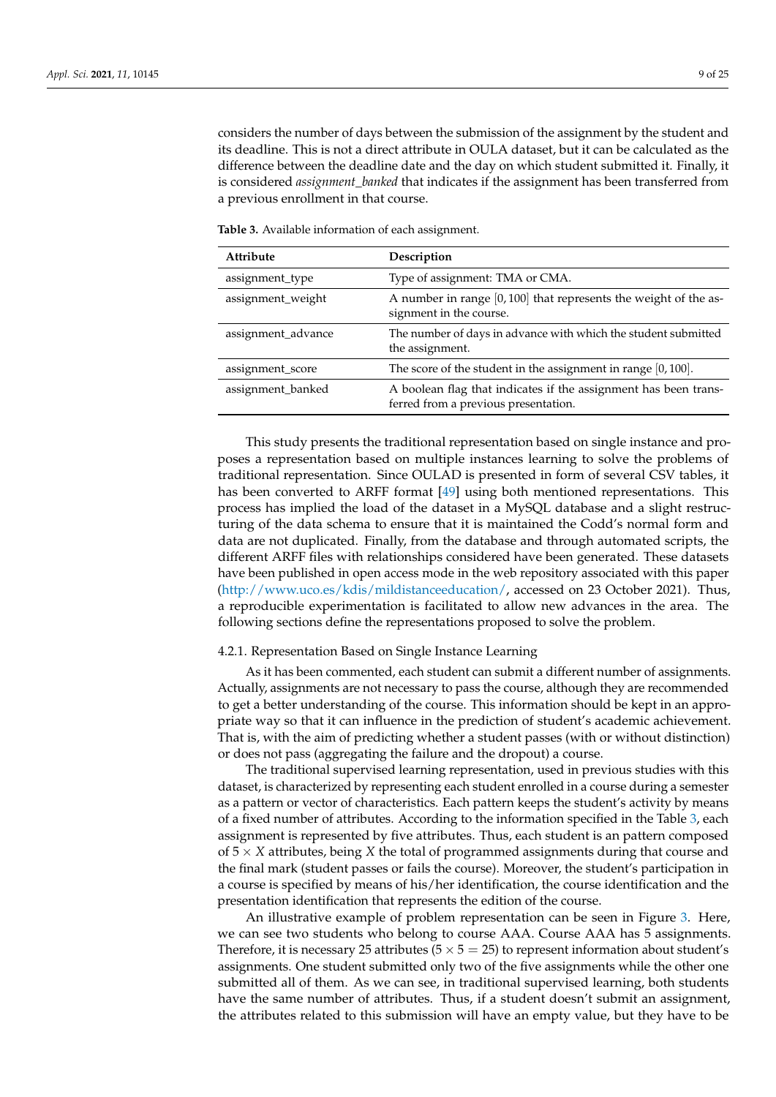considers the number of days between the submission of the assignment by the student and its deadline. This is not a direct attribute in OULA dataset, but it can be calculated as the difference between the deadline date and the day on which student submitted it. Finally, it is considered *assignment\_banked* that indicates if the assignment has been transferred from a previous enrollment in that course.

| Attribute          | Description                                                                                             |
|--------------------|---------------------------------------------------------------------------------------------------------|
| assignment_type    | Type of assignment: TMA or CMA.                                                                         |
| assignment_weight  | A number in range [0, 100] that represents the weight of the as-<br>signment in the course.             |
| assignment_advance | The number of days in advance with which the student submitted<br>the assignment.                       |
| assignment_score   | The score of the student in the assignment in range $[0, 100]$ .                                        |
| assignment_banked  | A boolean flag that indicates if the assignment has been trans-<br>ferred from a previous presentation. |

<span id="page-8-0"></span>**Table 3.** Available information of each assignment.

This study presents the traditional representation based on single instance and proposes a representation based on multiple instances learning to solve the problems of traditional representation. Since OULAD is presented in form of several CSV tables, it has been converted to ARFF format [\[49\]](#page-23-16) using both mentioned representations. This process has implied the load of the dataset in a MySQL database and a slight restructuring of the data schema to ensure that it is maintained the Codd's normal form and data are not duplicated. Finally, from the database and through automated scripts, the different ARFF files with relationships considered have been generated. These datasets have been published in open access mode in the web repository associated with this paper [\(http://www.uco.es/kdis/mildistanceeducation/,](http://www.uco.es/kdis/mildistanceeducation/) accessed on 23 October 2021). Thus, a reproducible experimentation is facilitated to allow new advances in the area. The following sections define the representations proposed to solve the problem.

# <span id="page-8-1"></span>4.2.1. Representation Based on Single Instance Learning

As it has been commented, each student can submit a different number of assignments. Actually, assignments are not necessary to pass the course, although they are recommended to get a better understanding of the course. This information should be kept in an appropriate way so that it can influence in the prediction of student's academic achievement. That is, with the aim of predicting whether a student passes (with or without distinction) or does not pass (aggregating the failure and the dropout) a course.

The traditional supervised learning representation, used in previous studies with this dataset, is characterized by representing each student enrolled in a course during a semester as a pattern or vector of characteristics. Each pattern keeps the student's activity by means of a fixed number of attributes. According to the information specified in the Table [3,](#page-8-0) each assignment is represented by five attributes. Thus, each student is an pattern composed of 5 × *X* attributes, being *X* the total of programmed assignments during that course and the final mark (student passes or fails the course). Moreover, the student's participation in a course is specified by means of his/her identification, the course identification and the presentation identification that represents the edition of the course.

An illustrative example of problem representation can be seen in Figure [3.](#page-9-0) Here, we can see two students who belong to course AAA. Course AAA has 5 assignments. Therefore, it is necessary 25 attributes  $(5 \times 5 = 25)$  to represent information about student's assignments. One student submitted only two of the five assignments while the other one submitted all of them. As we can see, in traditional supervised learning, both students have the same number of attributes. Thus, if a student doesn't submit an assignment, the attributes related to this submission will have an empty value, but they have to be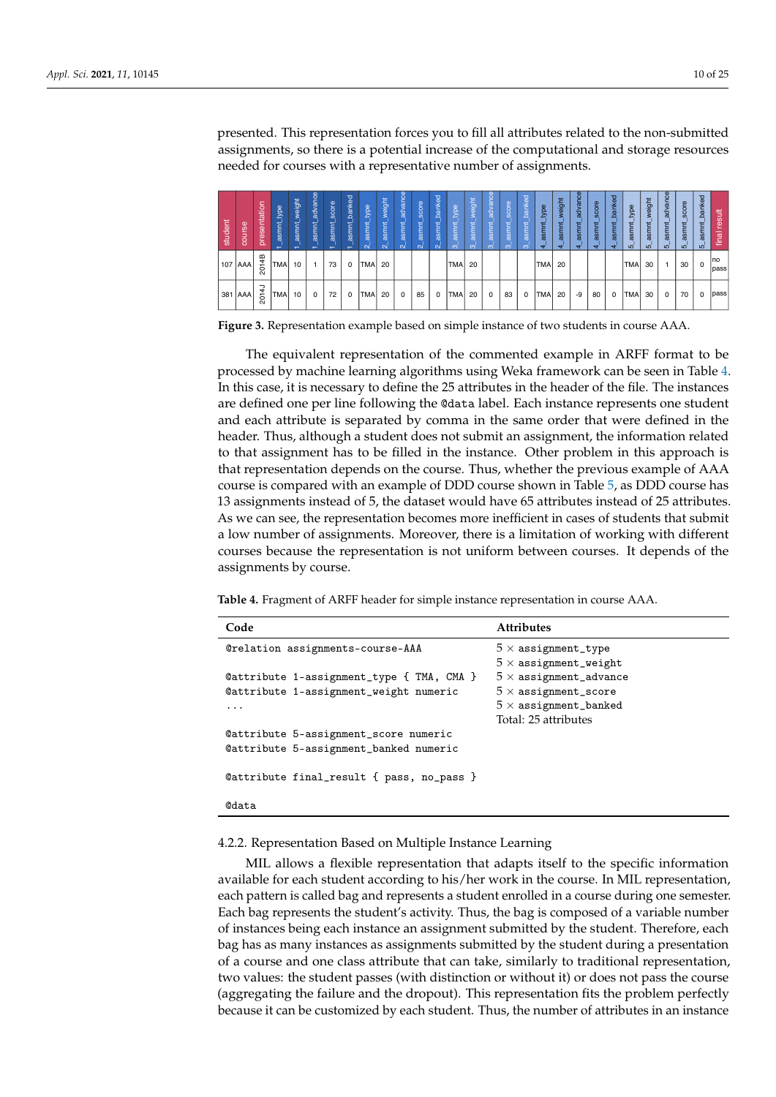presented. This representation forces you to fill all attributes related to the non-submitted assignments, so there is a potential increase of the computational and storage resources needed for courses with a representative number of assignments.

<span id="page-9-0"></span>

| student | course    | tation<br>esen<br>۱ā | type<br>asmnt<br>$\overline{\phantom{0}}$ | weight<br>asmnt<br>$\overline{\phantom{0}}$ | advance<br>asmnt<br>$\overline{\phantom{0}}$ | score<br>⊭<br>asmr<br>$\overline{\phantom{0}}$ | banked<br>asmnt | type<br>asmnt<br>$\sim$ | weight<br>asmr<br>$\sim$ | advance<br>asmnt<br>$\sim$ | score<br>asmr<br>$\sim$ | banked<br>asmnt<br>$\mathbf{\alpha}$ | type<br>asmr<br>ത | weight<br>asmr<br>$\infty$ | advance<br>asmr<br>$\infty$ | score<br>asn<br>$\infty$ | banked<br>asm<br>$\infty$ | type<br>asmr<br>$\mathbf{d}$ | weight<br>asmnt<br>$\mathbf{H}$ | Φ<br>advano<br>asmr<br>↤ | score<br>asmnt<br>₹ | banked<br>asmnt<br>⇺ | type<br>smr<br>$\overline{5}$ | weight<br>asmnt<br><b>IO</b> | advance<br>asmnt<br><b>IO</b> | score<br>asmnt<br><b>IO</b> | banked<br>asm<br>ഗ | result<br>final |
|---------|-----------|----------------------|-------------------------------------------|---------------------------------------------|----------------------------------------------|------------------------------------------------|-----------------|-------------------------|--------------------------|----------------------------|-------------------------|--------------------------------------|-------------------|----------------------------|-----------------------------|--------------------------|---------------------------|------------------------------|---------------------------------|--------------------------|---------------------|----------------------|-------------------------------|------------------------------|-------------------------------|-----------------------------|--------------------|-----------------|
| 107     | '  AAA    | 2014B                | <b>TMA</b>                                | 10                                          |                                              | 73                                             | $\Omega$        | <b>TMA</b>              | 20                       |                            |                         |                                      | TMA               | 20                         |                             |                          |                           | <b>TMA</b>                   | 20                              |                          |                     |                      | <b>TMA</b>                    | 30                           |                               | 30                          |                    | Ino<br>pass     |
|         | 381   AAA | 2014J                | ITMAI                                     | 10                                          | $\Omega$                                     | 72                                             | 0               | <b>TMAI</b>             | 20                       | $\mathbf 0$                | 85                      | $\mathbf 0$                          | <b>TMA</b>        | 20                         | $\Omega$                    | 83                       | 0                         | TMA                          | 20                              | -9                       | 80                  | $^{\circ}$           | <b>TMAI</b>                   | 30                           | $\Omega$                      | 70                          | $\Omega$           | pass            |

**Figure 3.** Representation example based on simple instance of two students in course AAA.

The equivalent representation of the commented example in ARFF format to be processed by machine learning algorithms using Weka framework can be seen in Table [4.](#page-9-1) In this case, it is necessary to define the 25 attributes in the header of the file. The instances are defined one per line following the @data label. Each instance represents one student and each attribute is separated by comma in the same order that were defined in the header. Thus, although a student does not submit an assignment, the information related to that assignment has to be filled in the instance. Other problem in this approach is that representation depends on the course. Thus, whether the previous example of AAA course is compared with an example of DDD course shown in Table [5,](#page-10-0) as DDD course has 13 assignments instead of 5, the dataset would have 65 attributes instead of 25 attributes. As we can see, the representation becomes more inefficient in cases of students that submit a low number of assignments. Moreover, there is a limitation of working with different courses because the representation is not uniform between courses. It depends of the assignments by course.

<span id="page-9-1"></span>**Table 4.** Fragment of ARFF header for simple instance representation in course AAA.

| Code                                      | <b>Attributes</b>                                          |
|-------------------------------------------|------------------------------------------------------------|
| @relation assignments-course-AAA          | $5 \times$ assignment_type<br>$5 \times$ assignment_weight |
| @attribute 1-assignment_type { TMA, CMA } | $5 \times$ assignment_advance                              |
| @attribute 1-assignment_weight numeric    | $5 \times$ assignment_score                                |
| .                                         | $5 \times$ assignment_banked                               |
|                                           | Total: 25 attributes                                       |
| @attribute 5-assignment_score numeric     |                                                            |
| @attribute 5-assignment_banked numeric    |                                                            |
| @attribute final_result { pass, no_pass } |                                                            |
| <b>@data</b>                              |                                                            |

4.2.2. Representation Based on Multiple Instance Learning

MIL allows a flexible representation that adapts itself to the specific information available for each student according to his/her work in the course. In MIL representation, each pattern is called bag and represents a student enrolled in a course during one semester. Each bag represents the student's activity. Thus, the bag is composed of a variable number of instances being each instance an assignment submitted by the student. Therefore, each bag has as many instances as assignments submitted by the student during a presentation of a course and one class attribute that can take, similarly to traditional representation, two values: the student passes (with distinction or without it) or does not pass the course (aggregating the failure and the dropout). This representation fits the problem perfectly because it can be customized by each student. Thus, the number of attributes in an instance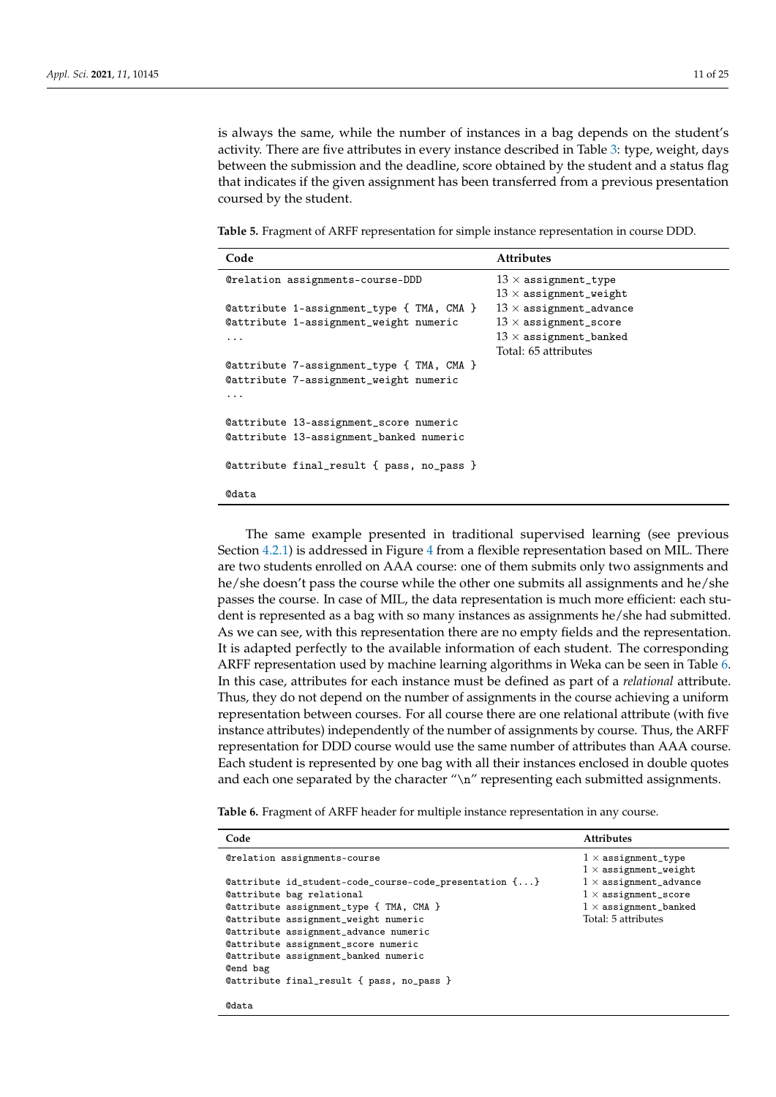is always the same, while the number of instances in a bag depends on the student's activity. There are five attributes in every instance described in Table [3:](#page-8-0) type, weight, days between the submission and the deadline, score obtained by the student and a status flag that indicates if the given assignment has been transferred from a previous presentation coursed by the student.

<span id="page-10-0"></span>**Table 5.** Fragment of ARFF representation for simple instance representation in course DDD.

| Code                                      | <b>Attributes</b>              |
|-------------------------------------------|--------------------------------|
| @relation assignments-course-DDD          | $13 \times$ assignment_type    |
|                                           | $13 \times$ assignment_weight  |
| @attribute 1-assignment_type { TMA, CMA } | $13 \times$ assignment_advance |
| @attribute 1-assignment_weight numeric    | $13 \times$ assignment_score   |
| .                                         | $13 \times$ assignment_banked  |
|                                           | Total: 65 attributes           |
| @attribute 7-assignment_type { TMA, CMA } |                                |
| @attribute 7-assignment_weight numeric    |                                |
| .                                         |                                |
| @attribute 13-assignment_score numeric    |                                |
| @attribute 13-assignment_banked numeric   |                                |
| @attribute final_result { pass, no_pass } |                                |
| <b>@data</b>                              |                                |

The same example presented in traditional supervised learning (see previous Section [4.2.1\)](#page-8-1) is addressed in Figure [4](#page-11-1) from a flexible representation based on MIL. There are two students enrolled on AAA course: one of them submits only two assignments and he/she doesn't pass the course while the other one submits all assignments and he/she passes the course. In case of MIL, the data representation is much more efficient: each student is represented as a bag with so many instances as assignments he/she had submitted. As we can see, with this representation there are no empty fields and the representation. It is adapted perfectly to the available information of each student. The corresponding ARFF representation used by machine learning algorithms in Weka can be seen in Table [6.](#page-10-1) In this case, attributes for each instance must be defined as part of a *relational* attribute. Thus, they do not depend on the number of assignments in the course achieving a uniform representation between courses. For all course there are one relational attribute (with five instance attributes) independently of the number of assignments by course. Thus, the ARFF representation for DDD course would use the same number of attributes than AAA course. Each student is represented by one bag with all their instances enclosed in double quotes and each one separated by the character "\n" representing each submitted assignments.

<span id="page-10-1"></span>**Table 6.** Fragment of ARFF header for multiple instance representation in any course.

| Code                                                   | <b>Attributes</b>             |
|--------------------------------------------------------|-------------------------------|
| <b>@relation assignments-course</b>                    | $1 \times$ assignment_type    |
|                                                        | $1 \times$ assignment_weight  |
| @attribute id_student-code_course-code_presentation {} | $1 \times$ assignment_advance |
| Cattribute bag relational                              | $1 \times$ assignment_score   |
| @attribute assignment_type { TMA, CMA }                | $1 \times$ assignment_banked  |
| Cattribute assignment_weight numeric                   | Total: 5 attributes           |
| Cattribute assignment_advance numeric                  |                               |
| Cattribute assignment_score numeric                    |                               |
| Cattribute assignment_banked numeric                   |                               |
| Cend bag                                               |                               |
| @attribute final_result { pass, no_pass }              |                               |
|                                                        |                               |
| <b>@data</b>                                           |                               |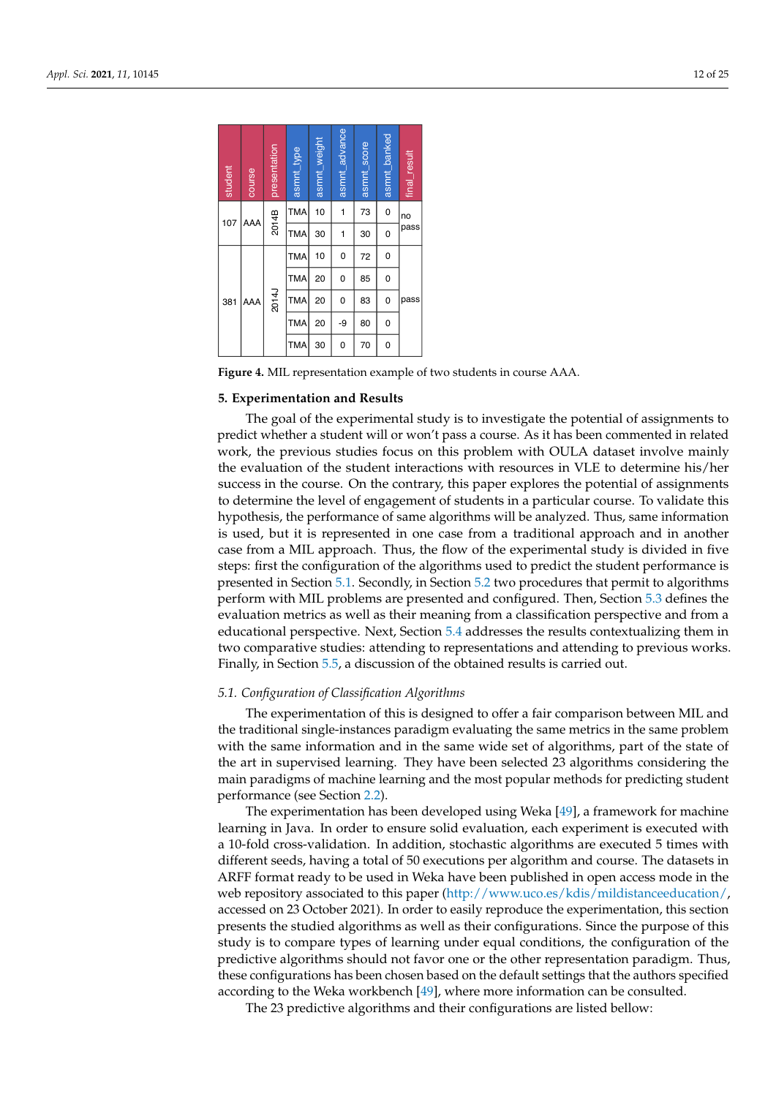<span id="page-11-1"></span>

| student | course | presentation | asmnt_type | asmnt_weight | asmnt_advance | asmnt_score | asmnt_banked   | final_result |  |
|---------|--------|--------------|------------|--------------|---------------|-------------|----------------|--------------|--|
| 107     | AAA    | 2014B        | <b>TMA</b> | 10           | 1             | 73          | $\overline{0}$ | no           |  |
|         |        |              | <b>TMA</b> | 30           | 1             | 30          | 0              | pass         |  |
|         |        |              | <b>TMA</b> | 10           | 0             | 72          | 0              |              |  |
|         |        |              | <b>TMA</b> | 20           | 0             | 85          | 0              |              |  |
| 381     | AAA    | 2014J        | <b>TMA</b> | 20           | 0             | 83          | 0              | pass         |  |
|         |        |              | <b>TMA</b> | 20           | -9            | 80          | 0              |              |  |
|         |        |              | <b>TMA</b> | 30           | 0             | 70          | 0              |              |  |

**Figure 4.** MIL representation example of two students in course AAA.

#### <span id="page-11-0"></span>**5. Experimentation and Results**

The goal of the experimental study is to investigate the potential of assignments to predict whether a student will or won't pass a course. As it has been commented in related work, the previous studies focus on this problem with OULA dataset involve mainly the evaluation of the student interactions with resources in VLE to determine his/her success in the course. On the contrary, this paper explores the potential of assignments to determine the level of engagement of students in a particular course. To validate this hypothesis, the performance of same algorithms will be analyzed. Thus, same information is used, but it is represented in one case from a traditional approach and in another case from a MIL approach. Thus, the flow of the experimental study is divided in five steps: first the configuration of the algorithms used to predict the student performance is presented in Section [5.1.](#page-11-2) Secondly, in Section [5.2](#page-13-0) two procedures that permit to algorithms perform with MIL problems are presented and configured. Then, Section [5.3](#page-14-0) defines the evaluation metrics as well as their meaning from a classification perspective and from a educational perspective. Next, Section [5.4](#page-15-0) addresses the results contextualizing them in two comparative studies: attending to representations and attending to previous works. Finally, in Section [5.5,](#page-20-0) a discussion of the obtained results is carried out.

#### <span id="page-11-2"></span>*5.1. Configuration of Classification Algorithms*

The experimentation of this is designed to offer a fair comparison between MIL and the traditional single-instances paradigm evaluating the same metrics in the same problem with the same information and in the same wide set of algorithms, part of the state of the art in supervised learning. They have been selected 23 algorithms considering the main paradigms of machine learning and the most popular methods for predicting student performance (see Section [2.2\)](#page-2-1).

The experimentation has been developed using Weka [\[49\]](#page-23-16), a framework for machine learning in Java. In order to ensure solid evaluation, each experiment is executed with a 10-fold cross-validation. In addition, stochastic algorithms are executed 5 times with different seeds, having a total of 50 executions per algorithm and course. The datasets in ARFF format ready to be used in Weka have been published in open access mode in the web repository associated to this paper [\(http://www.uco.es/kdis/mildistanceeducation/,](http://www.uco.es/kdis/mildistanceeducation/) accessed on 23 October 2021). In order to easily reproduce the experimentation, this section presents the studied algorithms as well as their configurations. Since the purpose of this study is to compare types of learning under equal conditions, the configuration of the predictive algorithms should not favor one or the other representation paradigm. Thus, these configurations has been chosen based on the default settings that the authors specified according to the Weka workbench [\[49\]](#page-23-16), where more information can be consulted.

The 23 predictive algorithms and their configurations are listed bellow: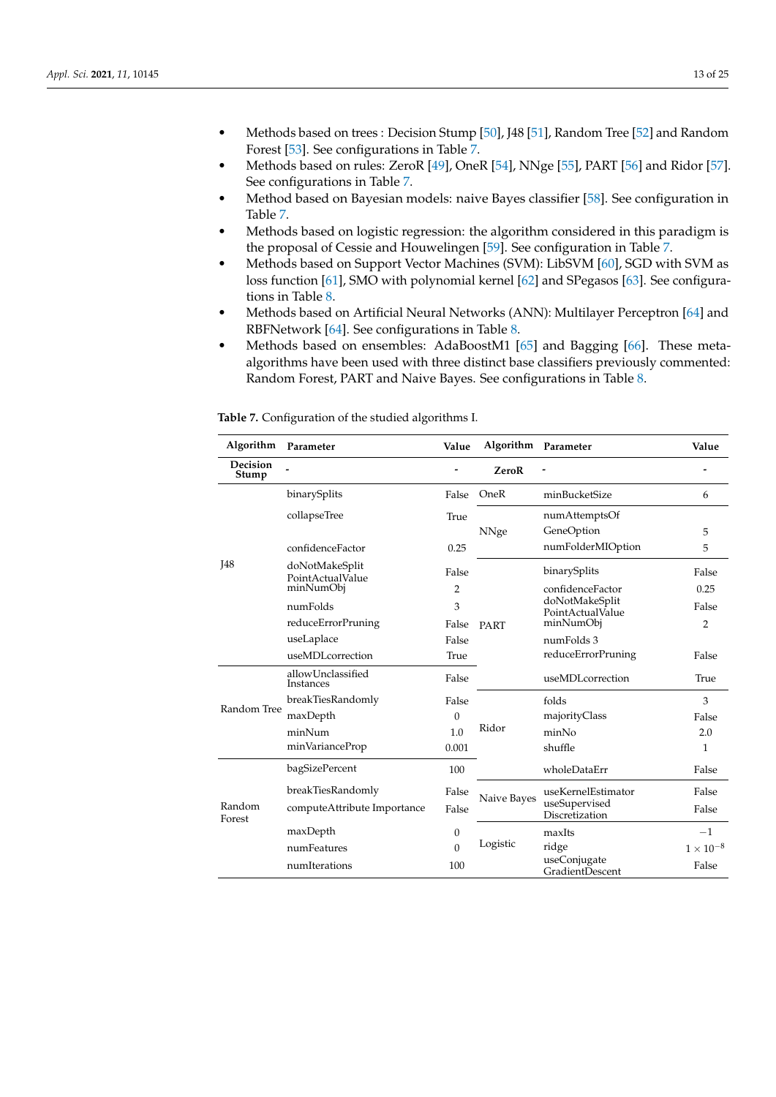- Methods based on trees : Decision Stump [\[50\]](#page-23-17), J48 [\[51\]](#page-23-18), Random Tree [\[52\]](#page-23-19) and Random Forest [\[53\]](#page-23-20). See configurations in Table [7.](#page-12-0)
- Methods based on rules: ZeroR [\[49\]](#page-23-16), OneR [\[54\]](#page-23-21), NNge [\[55\]](#page-23-22), PART [\[56\]](#page-23-23) and Ridor [\[57\]](#page-23-24). See configurations in Table [7.](#page-12-0)
- Method based on Bayesian models: naive Bayes classifier [\[58\]](#page-23-25). See configuration in Table [7.](#page-12-0)
- Methods based on logistic regression: the algorithm considered in this paradigm is the proposal of Cessie and Houwelingen [\[59\]](#page-23-26). See configuration in Table [7.](#page-12-0)
- Methods based on Support Vector Machines (SVM): LibSVM [\[60\]](#page-23-27), SGD with SVM as loss function [\[61\]](#page-23-28), SMO with polynomial kernel [\[62\]](#page-23-29) and SPegasos [\[63\]](#page-23-30). See configurations in Table [8.](#page-13-1)
- Methods based on Artificial Neural Networks (ANN): Multilayer Perceptron [\[64\]](#page-23-31) and RBFNetwork [\[64\]](#page-23-31). See configurations in Table [8.](#page-13-1)
- Methods based on ensembles: AdaBoostM1 [\[65\]](#page-24-0) and Bagging [\[66\]](#page-24-1). These metaalgorithms have been used with three distinct base classifiers previously commented: Random Forest, PART and Naive Bayes. See configurations in Table [8.](#page-13-1)

<span id="page-12-0"></span>**Table 7.** Configuration of the studied algorithms I.

| Algorithm         | Parameter                          | Value          | Algorithm Parameter |                                    | Value            |
|-------------------|------------------------------------|----------------|---------------------|------------------------------------|------------------|
| Decision<br>Stump |                                    |                | ZeroR               |                                    |                  |
|                   | binarySplits                       | False          | OneR                | minBucketSize                      | 6                |
|                   | collapseTree                       | True           | <b>NNge</b>         | numAttemptsOf<br>GeneOption        | 5                |
|                   | confidenceFactor                   | 0.25           |                     | numFolderMIOption                  | 5                |
| <b>I48</b>        | doNotMakeSplit<br>PointActualValue | False          |                     | binarySplits                       | False            |
|                   | minNumObj                          | $\overline{2}$ |                     | confidenceFactor                   | 0.25             |
|                   | numFolds                           | 3              |                     | doNotMakeSplit<br>PointActualValue | False            |
|                   | reduceErrorPruning                 | False          | PART                | minNumObj                          | $\overline{2}$   |
|                   | useLaplace                         | False          |                     | numFolds 3                         |                  |
|                   | useMDLcorrection                   | True           |                     | reduceErrorPruning                 | False            |
|                   | allowUnclassified<br>Instances     |                |                     | useMDLcorrection                   | True             |
|                   | breakTiesRandomly                  | False          |                     | folds                              | 3                |
| Random Tree       | maxDepth                           | $\Omega$       |                     | majorityClass                      | False            |
|                   | minNum                             | 1.0            | Ridor               | minNo                              | 2.0              |
|                   | minVarianceProp                    | 0.001          |                     | shuffle                            | $\mathbf{1}$     |
|                   | bagSizePercent                     | 100            |                     | wholeDataErr                       | False            |
|                   | breakTiesRandomly                  | False          | Naive Bayes         | useKernelEstimator                 | False            |
| Random<br>Forest  | computeAttribute Importance        | False          |                     | useSupervised<br>Discretization    | False            |
|                   | maxDepth                           | $\theta$       |                     | maxIts                             | $-1$             |
|                   | numFeatures                        | $\Omega$       | Logistic            | ridge                              | $1\times10^{-8}$ |
|                   | numIterations                      | 100            |                     | useConjugate<br>GradientDescent    | False            |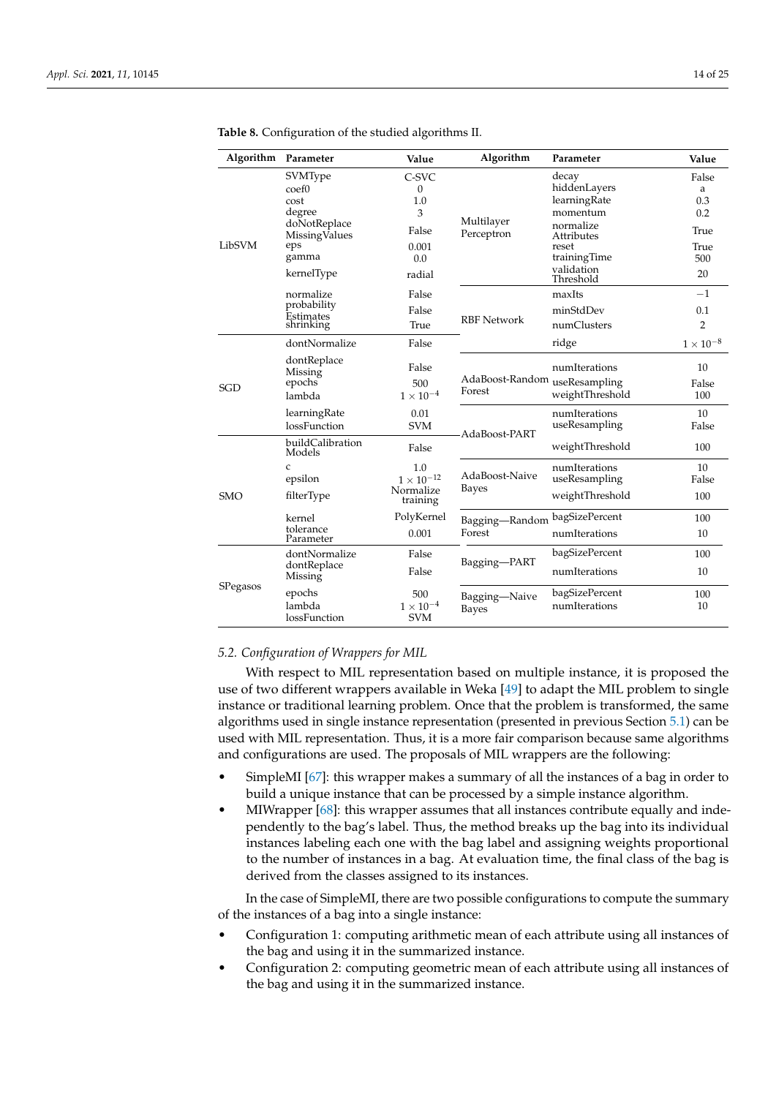| Algorithm  | Parameter                                                                                                     | Value                                                            | Algorithm                               | Parameter                                                                                                                        | Value                                                 |
|------------|---------------------------------------------------------------------------------------------------------------|------------------------------------------------------------------|-----------------------------------------|----------------------------------------------------------------------------------------------------------------------------------|-------------------------------------------------------|
| LibSVM     | SVMType<br>coef <sub>0</sub><br>cost<br>degree<br>doNotReplace<br>MissingValues<br>eps<br>gamma<br>kernelType | C-SVC<br>$\theta$<br>1.0<br>3<br>False<br>0.001<br>0.0<br>radial | Multilayer<br>Perceptron                | decay<br>hiddenLayers<br>learningRate<br>momentum<br>normalize<br>Attributes<br>reset<br>trainingTime<br>validation<br>Threshold | False<br>a<br>0.3<br>0.2<br>True<br>True<br>500<br>20 |
|            | normalize<br>probability<br>Estimates<br>shrinking                                                            | False<br>False<br>True                                           | <b>RBF</b> Network                      | maxIts<br>minStdDev<br>numClusters                                                                                               | $-1$<br>0.1<br>$\overline{2}$                         |
| <b>SGD</b> | dontNormalize<br>dontReplace<br>Missing<br>epochs<br>lambda                                                   | False<br>False<br>500<br>$1\times10^{-4}$                        | AdaBoost-Random useResampling<br>Forest | ridge<br>numIterations<br>weightThreshold                                                                                        | $1\times10^{-8}$<br>10<br>False<br>100                |
|            | learningRate<br>lossFunction<br>buildCalibration                                                              | 0.01<br><b>SVM</b><br>False                                      | AdaBoost-PART                           | numIterations<br>useResampling<br>weightThreshold                                                                                | 10<br>False<br>100                                    |
| <b>SMO</b> | Models<br>C<br>epsilon<br>filterType                                                                          | 1.0<br>$1 \times 10^{-12}$<br>Normalize<br>training              | AdaBoost-Naive<br>Bayes                 | numIterations<br>useResampling<br>weightThreshold                                                                                | 10<br>False<br>100                                    |
|            | kernel<br>tolerance<br>Parameter                                                                              | PolyKernel<br>0.001                                              | Bagging-Random<br>Forest                | bagSizePercent<br>numIterations                                                                                                  | 100<br>10                                             |
|            | dontNormalize<br>dontReplace<br>Missing                                                                       | False<br>False                                                   | Bagging-PART                            | bagSizePercent<br>numIterations                                                                                                  | 100<br>10                                             |
| SPegasos   | epochs<br>lambda<br>lossFunction                                                                              | 500<br>$1 \times 10^{-4}$<br><b>SVM</b>                          | Bagging-Naive<br>Bayes                  | bagSizePercent<br>numIterations                                                                                                  | 100<br>10                                             |

<span id="page-13-1"></span>**Table 8.** Configuration of the studied algorithms II.

# <span id="page-13-0"></span>*5.2. Configuration of Wrappers for MIL*

With respect to MIL representation based on multiple instance, it is proposed the use of two different wrappers available in Weka [\[49\]](#page-23-16) to adapt the MIL problem to single instance or traditional learning problem. Once that the problem is transformed, the same algorithms used in single instance representation (presented in previous Section [5.1\)](#page-11-2) can be used with MIL representation. Thus, it is a more fair comparison because same algorithms and configurations are used. The proposals of MIL wrappers are the following:

- SimpleMI [\[67\]](#page-24-2): this wrapper makes a summary of all the instances of a bag in order to build a unique instance that can be processed by a simple instance algorithm.
- MIWrapper [\[68\]](#page-24-3): this wrapper assumes that all instances contribute equally and independently to the bag's label. Thus, the method breaks up the bag into its individual instances labeling each one with the bag label and assigning weights proportional to the number of instances in a bag. At evaluation time, the final class of the bag is derived from the classes assigned to its instances.

In the case of SimpleMI, there are two possible configurations to compute the summary of the instances of a bag into a single instance:

- Configuration 1: computing arithmetic mean of each attribute using all instances of the bag and using it in the summarized instance.
- Configuration 2: computing geometric mean of each attribute using all instances of the bag and using it in the summarized instance.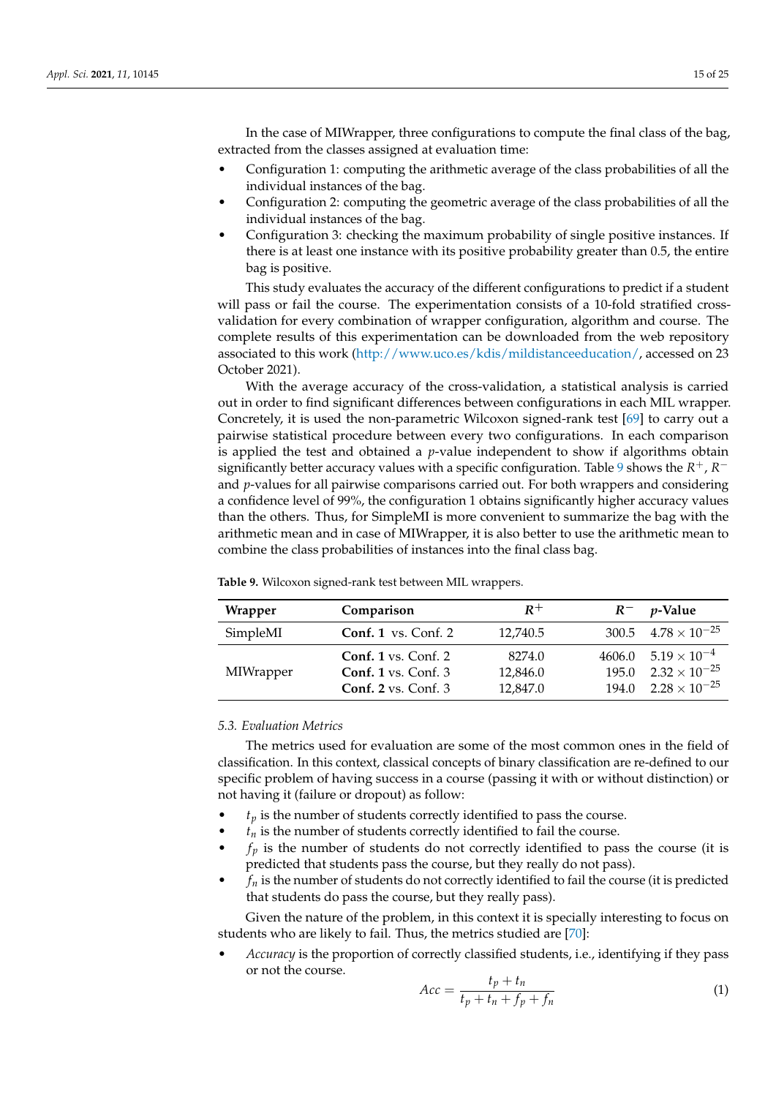In the case of MIWrapper, three configurations to compute the final class of the bag, extracted from the classes assigned at evaluation time:

- Configuration 1: computing the arithmetic average of the class probabilities of all the individual instances of the bag.
- Configuration 2: computing the geometric average of the class probabilities of all the individual instances of the bag.
- Configuration 3: checking the maximum probability of single positive instances. If there is at least one instance with its positive probability greater than 0.5, the entire bag is positive.

This study evaluates the accuracy of the different configurations to predict if a student will pass or fail the course. The experimentation consists of a 10-fold stratified crossvalidation for every combination of wrapper configuration, algorithm and course. The complete results of this experimentation can be downloaded from the web repository associated to this work [\(http://www.uco.es/kdis/mildistanceeducation/,](http://www.uco.es/kdis/mildistanceeducation/) accessed on 23 October 2021).

With the average accuracy of the cross-validation, a statistical analysis is carried out in order to find significant differences between configurations in each MIL wrapper. Concretely, it is used the non-parametric Wilcoxon signed-rank test [\[69\]](#page-24-4) to carry out a pairwise statistical procedure between every two configurations. In each comparison is applied the test and obtained a *p*-value independent to show if algorithms obtain significantly better accuracy values with a specific configuration. Table [9](#page-14-1) shows the  $R^+$ ,  $R^$ and *p*-values for all pairwise comparisons carried out. For both wrappers and considering a confidence level of 99%, the configuration 1 obtains significantly higher accuracy values than the others. Thus, for SimpleMI is more convenient to summarize the bag with the arithmetic mean and in case of MIWrapper, it is also better to use the arithmetic mean to combine the class probabilities of instances into the final class bag.

| Wrapper   | Comparison                     | $R^+$    | $R^{-}$ | <i>v</i> -Value                |
|-----------|--------------------------------|----------|---------|--------------------------------|
| SimpleMI  | Conf. 1 vs. Conf. $2$          | 12.740.5 |         | 300.5 $4.78 \times 10^{-25}$   |
|           | Conf. $1$ vs. Conf. $2$        | 8274.0   |         | $4606.0$ $5.19 \times 10^{-4}$ |
| MIWrapper | Conf. $1$ vs. Conf. $3$        | 12,846.0 |         | $195.0$ $2.32 \times 10^{-25}$ |
|           | Conf. $2 \text{ vs. Conf. } 3$ | 12.847.0 |         | $194.0$ $2.28 \times 10^{-25}$ |

<span id="page-14-1"></span>**Table 9.** Wilcoxon signed-rank test between MIL wrappers.

## <span id="page-14-0"></span>*5.3. Evaluation Metrics*

The metrics used for evaluation are some of the most common ones in the field of classification. In this context, classical concepts of binary classification are re-defined to our specific problem of having success in a course (passing it with or without distinction) or not having it (failure or dropout) as follow:

- $t_p$  is the number of students correctly identified to pass the course.
- $t_n$  is the number of students correctly identified to fail the course.
- $f_p$  is the number of students do not correctly identified to pass the course (it is predicted that students pass the course, but they really do not pass).
- $f_n$  is the number of students do not correctly identified to fail the course (it is predicted that students do pass the course, but they really pass).

Given the nature of the problem, in this context it is specially interesting to focus on students who are likely to fail. Thus, the metrics studied are [\[70\]](#page-24-5):

• *Accuracy* is the proportion of correctly classified students, i.e., identifying if they pass or not the course.

$$
Acc = \frac{t_p + t_n}{t_p + t_n + f_p + f_n} \tag{1}
$$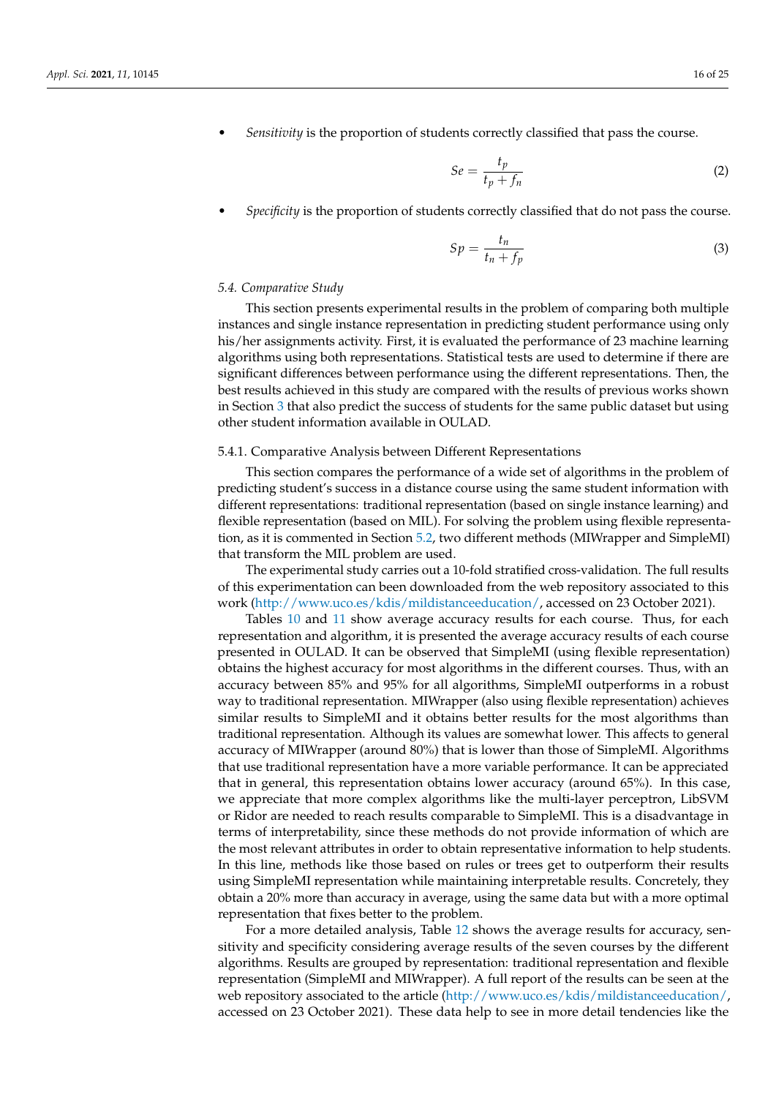• *Sensitivity* is the proportion of students correctly classified that pass the course.

$$
Se = \frac{t_p}{t_p + f_n} \tag{2}
$$

• *Specificity* is the proportion of students correctly classified that do not pass the course.

$$
Sp = \frac{t_n}{t_n + f_p} \tag{3}
$$

#### <span id="page-15-0"></span>*5.4. Comparative Study*

This section presents experimental results in the problem of comparing both multiple instances and single instance representation in predicting student performance using only his/her assignments activity. First, it is evaluated the performance of 23 machine learning algorithms using both representations. Statistical tests are used to determine if there are significant differences between performance using the different representations. Then, the best results achieved in this study are compared with the results of previous works shown in Section [3](#page-3-0) that also predict the success of students for the same public dataset but using other student information available in OULAD.

#### 5.4.1. Comparative Analysis between Different Representations

This section compares the performance of a wide set of algorithms in the problem of predicting student's success in a distance course using the same student information with different representations: traditional representation (based on single instance learning) and flexible representation (based on MIL). For solving the problem using flexible representation, as it is commented in Section [5.2,](#page-13-0) two different methods (MIWrapper and SimpleMI) that transform the MIL problem are used.

The experimental study carries out a 10-fold stratified cross-validation. The full results of this experimentation can been downloaded from the web repository associated to this work [\(http://www.uco.es/kdis/mildistanceeducation/,](http://www.uco.es/kdis/mildistanceeducation/) accessed on 23 October 2021).

Tables [10](#page-16-0) and [11](#page-17-0) show average accuracy results for each course. Thus, for each representation and algorithm, it is presented the average accuracy results of each course presented in OULAD. It can be observed that SimpleMI (using flexible representation) obtains the highest accuracy for most algorithms in the different courses. Thus, with an accuracy between 85% and 95% for all algorithms, SimpleMI outperforms in a robust way to traditional representation. MIWrapper (also using flexible representation) achieves similar results to SimpleMI and it obtains better results for the most algorithms than traditional representation. Although its values are somewhat lower. This affects to general accuracy of MIWrapper (around 80%) that is lower than those of SimpleMI. Algorithms that use traditional representation have a more variable performance. It can be appreciated that in general, this representation obtains lower accuracy (around 65%). In this case, we appreciate that more complex algorithms like the multi-layer perceptron, LibSVM or Ridor are needed to reach results comparable to SimpleMI. This is a disadvantage in terms of interpretability, since these methods do not provide information of which are the most relevant attributes in order to obtain representative information to help students. In this line, methods like those based on rules or trees get to outperform their results using SimpleMI representation while maintaining interpretable results. Concretely, they obtain a 20% more than accuracy in average, using the same data but with a more optimal representation that fixes better to the problem.

For a more detailed analysis, Table [12](#page-18-0) shows the average results for accuracy, sensitivity and specificity considering average results of the seven courses by the different algorithms. Results are grouped by representation: traditional representation and flexible representation (SimpleMI and MIWrapper). A full report of the results can be seen at the web repository associated to the article [\(http://www.uco.es/kdis/mildistanceeducation/,](http://www.uco.es/kdis/mildistanceeducation/) accessed on 23 October 2021). These data help to see in more detail tendencies like the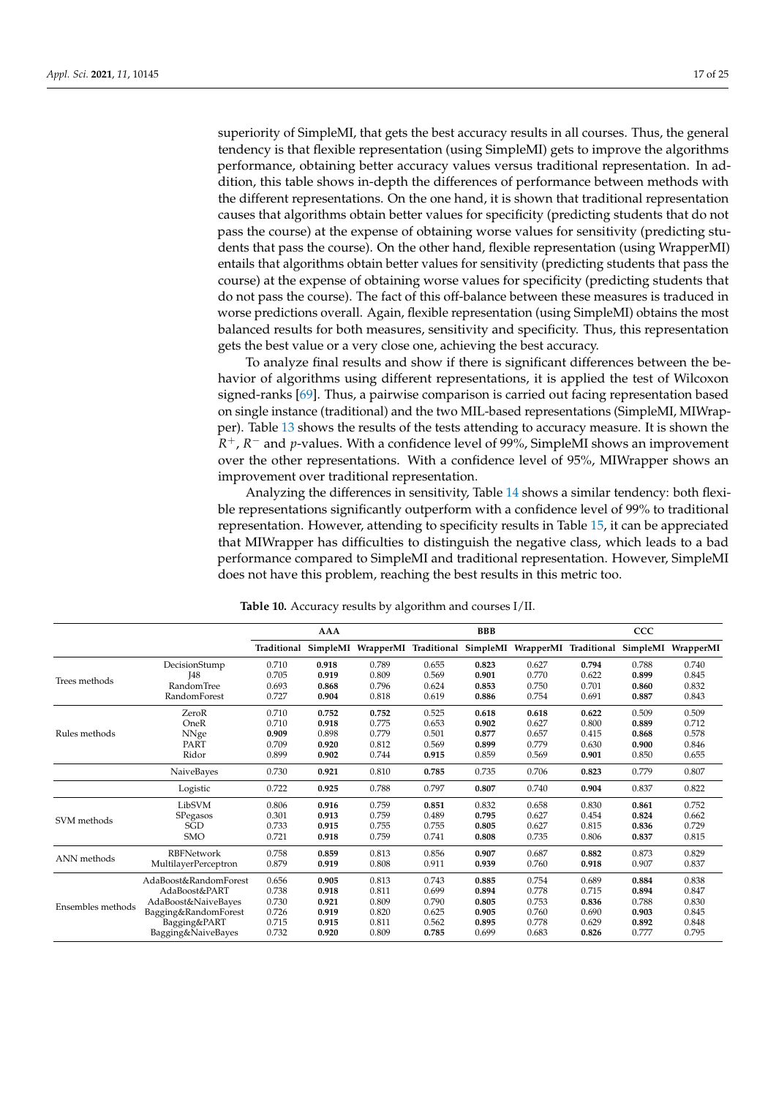superiority of SimpleMI, that gets the best accuracy results in all courses. Thus, the general tendency is that flexible representation (using SimpleMI) gets to improve the algorithms performance, obtaining better accuracy values versus traditional representation. In addition, this table shows in-depth the differences of performance between methods with the different representations. On the one hand, it is shown that traditional representation causes that algorithms obtain better values for specificity (predicting students that do not pass the course) at the expense of obtaining worse values for sensitivity (predicting students that pass the course). On the other hand, flexible representation (using WrapperMI) entails that algorithms obtain better values for sensitivity (predicting students that pass the course) at the expense of obtaining worse values for specificity (predicting students that do not pass the course). The fact of this off-balance between these measures is traduced in worse predictions overall. Again, flexible representation (using SimpleMI) obtains the most balanced results for both measures, sensitivity and specificity. Thus, this representation gets the best value or a very close one, achieving the best accuracy.

To analyze final results and show if there is significant differences between the behavior of algorithms using different representations, it is applied the test of Wilcoxon signed-ranks [\[69\]](#page-24-4). Thus, a pairwise comparison is carried out facing representation based on single instance (traditional) and the two MIL-based representations (SimpleMI, MIWrapper). Table [13](#page-18-1) shows the results of the tests attending to accuracy measure. It is shown the *R* <sup>+</sup>, *R* <sup>−</sup> and *p*-values. With a confidence level of 99%, SimpleMI shows an improvement over the other representations. With a confidence level of 95%, MIWrapper shows an improvement over traditional representation.

Analyzing the differences in sensitivity, Table [14](#page-18-2) shows a similar tendency: both flexible representations significantly outperform with a confidence level of 99% to traditional representation. However, attending to specificity results in Table [15,](#page-18-3) it can be appreciated that MIWrapper has difficulties to distinguish the negative class, which leads to a bad performance compared to SimpleMI and traditional representation. However, SimpleMI does not have this problem, reaching the best results in this metric too.

<span id="page-16-0"></span>

|                   |                       | <b>AAA</b> |       |                                                     |       | <b>BBB</b> |                                | CCC   |       |           |  |
|-------------------|-----------------------|------------|-------|-----------------------------------------------------|-------|------------|--------------------------------|-------|-------|-----------|--|
|                   |                       |            |       | Traditional SimpleMI WrapperMI Traditional SimpleMI |       |            | WrapperMI Traditional SimpleMI |       |       | WrapperMI |  |
|                   | DecisionStump         | 0.710      | 0.918 | 0.789                                               | 0.655 | 0.823      | 0.627                          | 0.794 | 0.788 | 0.740     |  |
|                   | <b>I48</b>            | 0.705      | 0.919 | 0.809                                               | 0.569 | 0.901      | 0.770                          | 0.622 | 0.899 | 0.845     |  |
| Trees methods     | Random Tree           | 0.693      | 0.868 | 0.796                                               | 0.624 | 0.853      | 0.750                          | 0.701 | 0.860 | 0.832     |  |
|                   | RandomForest          | 0.727      | 0.904 | 0.818                                               | 0.619 | 0.886      | 0.754                          | 0.691 | 0.887 | 0.843     |  |
| Rules methods     | ZeroR                 | 0.710      | 0.752 | 0.752                                               | 0.525 | 0.618      | 0.618                          | 0.622 | 0.509 | 0.509     |  |
|                   | OneR                  | 0.710      | 0.918 | 0.775                                               | 0.653 | 0.902      | 0.627                          | 0.800 | 0.889 | 0.712     |  |
|                   | NNge                  | 0.909      | 0.898 | 0.779                                               | 0.501 | 0.877      | 0.657                          | 0.415 | 0.868 | 0.578     |  |
|                   | PART                  | 0.709      | 0.920 | 0.812                                               | 0.569 | 0.899      | 0.779                          | 0.630 | 0.900 | 0.846     |  |
|                   | Ridor                 | 0.899      | 0.902 | 0.744                                               | 0.915 | 0.859      | 0.569                          | 0.901 | 0.850 | 0.655     |  |
|                   | NaiveBayes            | 0.730      | 0.921 | 0.810                                               | 0.785 | 0.735      | 0.706                          | 0.823 | 0.779 | 0.807     |  |
|                   | Logistic              | 0.722      | 0.925 | 0.788                                               | 0.797 | 0.807      | 0.740                          | 0.904 | 0.837 | 0.822     |  |
| SVM methods       | LibSVM                | 0.806      | 0.916 | 0.759                                               | 0.851 | 0.832      | 0.658                          | 0.830 | 0.861 | 0.752     |  |
|                   | SPegasos              | 0.301      | 0.913 | 0.759                                               | 0.489 | 0.795      | 0.627                          | 0.454 | 0.824 | 0.662     |  |
|                   | SGD                   | 0.733      | 0.915 | 0.755                                               | 0.755 | 0.805      | 0.627                          | 0.815 | 0.836 | 0.729     |  |
|                   | <b>SMO</b>            | 0.721      | 0.918 | 0.759                                               | 0.741 | 0.808      | 0.735                          | 0.806 | 0.837 | 0.815     |  |
| ANN methods       | <b>RBFNetwork</b>     | 0.758      | 0.859 | 0.813                                               | 0.856 | 0.907      | 0.687                          | 0.882 | 0.873 | 0.829     |  |
|                   | MultilayerPerceptron  | 0.879      | 0.919 | 0.808                                               | 0.911 | 0.939      | 0.760                          | 0.918 | 0.907 | 0.837     |  |
| Ensembles methods | AdaBoost&RandomForest | 0.656      | 0.905 | 0.813                                               | 0.743 | 0.885      | 0.754                          | 0.689 | 0.884 | 0.838     |  |
|                   | AdaBoost&PART         | 0.738      | 0.918 | 0.811                                               | 0.699 | 0.894      | 0.778                          | 0.715 | 0.894 | 0.847     |  |
|                   | AdaBoost&NaiveBayes   | 0.730      | 0.921 | 0.809                                               | 0.790 | 0.805      | 0.753                          | 0.836 | 0.788 | 0.830     |  |
|                   | Bagging&RandomForest  | 0.726      | 0.919 | 0.820                                               | 0.625 | 0.905      | 0.760                          | 0.690 | 0.903 | 0.845     |  |
|                   | Bagging&PART          | 0.715      | 0.915 | 0.811                                               | 0.562 | 0.895      | 0.778                          | 0.629 | 0.892 | 0.848     |  |
|                   | Bagging&NaiveBayes    | 0.732      | 0.920 | 0.809                                               | 0.785 | 0.699      | 0.683                          | 0.826 | 0.777 | 0.795     |  |

**Table 10.** Accuracy results by algorithm and courses I/II.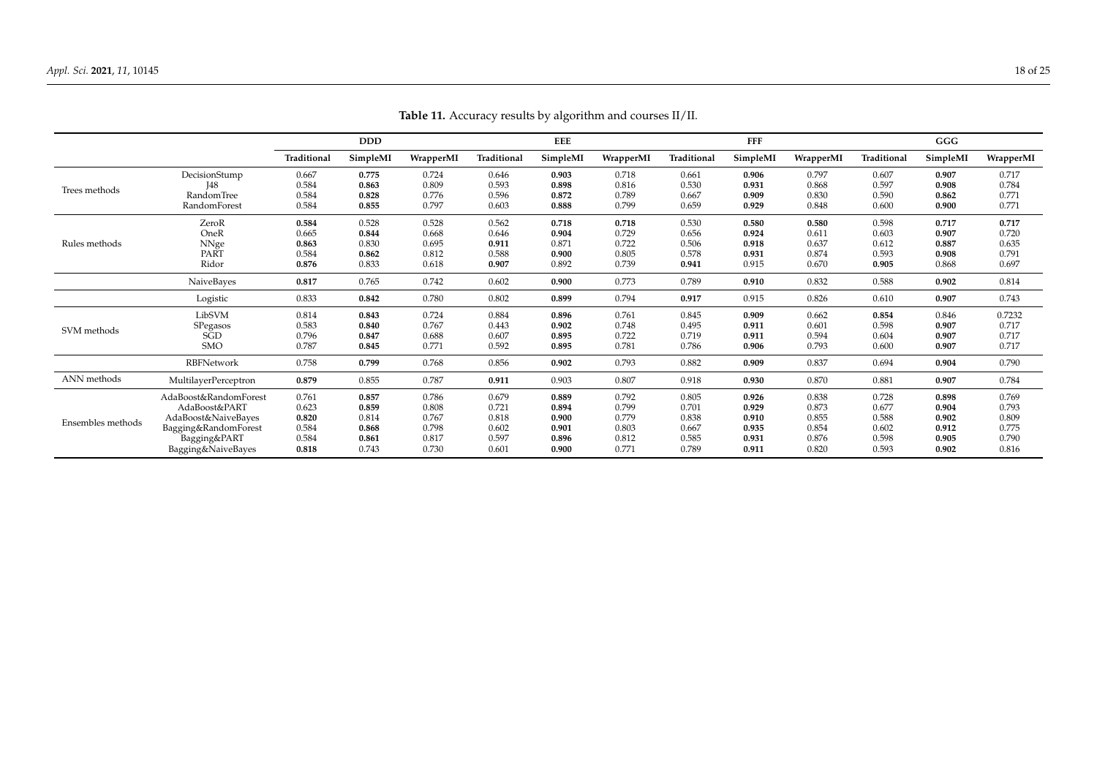<span id="page-17-0"></span>

|                   |                       |             | <b>DDD</b> |           |             | <b>EEE</b> |           |             | <b>FFF</b> |           |             | GGG      |           |
|-------------------|-----------------------|-------------|------------|-----------|-------------|------------|-----------|-------------|------------|-----------|-------------|----------|-----------|
|                   |                       | Traditional | SimpleMI   | WrapperMI | Traditional | SimpleMI   | WrapperMI | Traditional | SimpleMI   | WrapperMI | Traditional | SimpleMI | WrapperMI |
|                   | DecisionStump         | 0.667       | 0.775      | 0.724     | 0.646       | 0.903      | 0.718     | 0.661       | 0.906      | 0.797     | 0.607       | 0.907    | 0.717     |
| Trees methods     | 148                   | 0.584       | 0.863      | 0.809     | 0.593       | 0.898      | 0.816     | 0.530       | 0.931      | 0.868     | 0.597       | 0.908    | 0.784     |
|                   | RandomTree            | 0.584       | 0.828      | 0.776     | 0.596       | 0.872      | 0.789     | 0.667       | 0.909      | 0.830     | 0.590       | 0.862    | 0.771     |
|                   | RandomForest          | 0.584       | 0.855      | 0.797     | 0.603       | 0.888      | 0.799     | 0.659       | 0.929      | 0.848     | 0.600       | 0.900    | 0.771     |
|                   | ZeroR                 | 0.584       | 0.528      | 0.528     | 0.562       | 0.718      | 0.718     | 0.530       | 0.580      | 0.580     | 0.598       | 0.717    | 0.717     |
|                   | OneR                  | 0.665       | 0.844      | 0.668     | 0.646       | 0.904      | 0.729     | 0.656       | 0.924      | 0.611     | 0.603       | 0.907    | 0.720     |
| Rules methods     | NNge                  | 0.863       | 0.830      | 0.695     | 0.911       | 0.871      | 0.722     | 0.506       | 0.918      | 0.637     | 0.612       | 0.887    | 0.635     |
|                   | PART                  | 0.584       | 0.862      | 0.812     | 0.588       | 0.900      | 0.805     | 0.578       | 0.931      | 0.874     | 0.593       | 0.908    | 0.791     |
|                   | Ridor                 | 0.876       | 0.833      | 0.618     | 0.907       | 0.892      | 0.739     | 0.941       | 0.915      | 0.670     | 0.905       | 0.868    | 0.697     |
|                   | NaiveBayes            | 0.817       | 0.765      | 0.742     | 0.602       | 0.900      | 0.773     | 0.789       | 0.910      | 0.832     | 0.588       | 0.902    | 0.814     |
|                   | Logistic              | 0.833       | 0.842      | 0.780     | 0.802       | 0.899      | 0.794     | 0.917       | 0.915      | 0.826     | 0.610       | 0.907    | 0.743     |
|                   | LibSVM                | 0.814       | 0.843      | 0.724     | 0.884       | 0.896      | 0.761     | 0.845       | 0.909      | 0.662     | 0.854       | 0.846    | 0.7232    |
| SVM methods       | SPegasos              | 0.583       | 0.840      | 0.767     | 0.443       | 0.902      | 0.748     | 0.495       | 0.911      | 0.601     | 0.598       | 0.907    | 0.717     |
|                   | SGD                   | 0.796       | 0.847      | 0.688     | 0.607       | 0.895      | 0.722     | 0.719       | 0.911      | 0.594     | 0.604       | 0.907    | 0.717     |
|                   | <b>SMO</b>            | 0.787       | 0.845      | 0.771     | 0.592       | 0.895      | 0.781     | 0.786       | 0.906      | 0.793     | 0.600       | 0.907    | 0.717     |
|                   | RBFNetwork            | 0.758       | 0.799      | 0.768     | 0.856       | 0.902      | 0.793     | 0.882       | 0.909      | 0.837     | 0.694       | 0.904    | 0.790     |
| ANN methods       | MultilayerPerceptron  | 0.879       | 0.855      | 0.787     | 0.911       | 0.903      | 0.807     | 0.918       | 0.930      | 0.870     | 0.881       | 0.907    | 0.784     |
|                   | AdaBoost&RandomForest | 0.761       | 0.857      | 0.786     | 0.679       | 0.889      | 0.792     | 0.805       | 0.926      | 0.838     | 0.728       | 0.898    | 0.769     |
|                   | AdaBoost&PART         | 0.623       | 0.859      | 0.808     | 0.721       | 0.894      | 0.799     | 0.701       | 0.929      | 0.873     | 0.677       | 0.904    | 0.793     |
| Ensembles methods | AdaBoost&NaiveBayes   | 0.820       | 0.814      | 0.767     | 0.818       | 0.900      | 0.779     | 0.838       | 0.910      | 0.855     | 0.588       | 0.902    | 0.809     |
|                   | Bagging&RandomForest  | 0.584       | 0.868      | 0.798     | 0.602       | 0.901      | 0.803     | 0.667       | 0.935      | 0.854     | 0.602       | 0.912    | 0.775     |
|                   | Bagging&PART          | 0.584       | 0.861      | 0.817     | 0.597       | 0.896      | 0.812     | 0.585       | 0.931      | 0.876     | 0.598       | 0.905    | 0.790     |
|                   | Bagging&NaiveBayes    | 0.818       | 0.743      | 0.730     | 0.601       | 0.900      | 0.771     | 0.789       | 0.911      | 0.820     | 0.593       | 0.902    | 0.816     |

**Table 11.** Accuracy results by algorithm and courses II/II.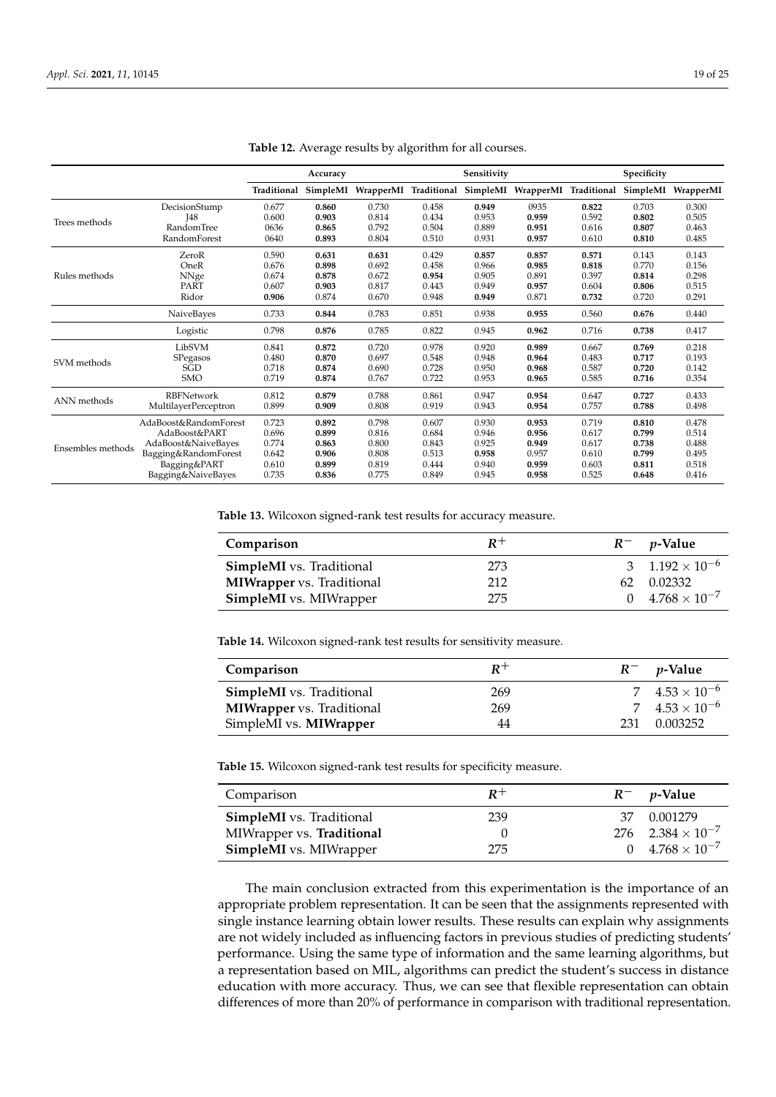<span id="page-18-0"></span>

|                            |                       |             | Accuracy |           |             | Sensitivity |           |             | Specificity |           |
|----------------------------|-----------------------|-------------|----------|-----------|-------------|-------------|-----------|-------------|-------------|-----------|
|                            |                       | Traditional | SimpleMI | WrapperMI | Traditional | SimpleMI    | WrapperMI | Traditional | SimpleMI    | WrapperMI |
|                            | DecisionStump         | 0.677       | 0.860    | 0.730     | 0.458       | 0.949       | 0935      | 0.822       | 0.703       | 0.300     |
| Trees methods              | <b>I48</b>            | 0.600       | 0.903    | 0.814     | 0.434       | 0.953       | 0.959     | 0.592       | 0.802       | 0.505     |
|                            | RandomTree            | 0636        | 0.865    | 0.792     | 0.504       | 0.889       | 0.951     | 0.616       | 0.807       | 0.463     |
|                            | RandomForest          | 0640        | 0.893    | 0.804     | 0.510       | 0.931       | 0.957     | 0.610       | 0.810       | 0.485     |
|                            | ZeroR                 | 0.590       | 0.631    | 0.631     | 0.429       | 0.857       | 0.857     | 0.571       | 0.143       | 0.143     |
|                            | OneR                  | 0.676       | 0.898    | 0.692     | 0.458       | 0.966       | 0.985     | 0.818       | 0.770       | 0.156     |
| Rules methods              | NNge                  | 0.674       | 0.878    | 0.672     | 0.954       | 0.905       | 0.891     | 0.397       | 0.814       | 0.298     |
|                            | PART                  | 0.607       | 0.903    | 0.817     | 0.443       | 0.949       | 0.957     | 0.604       | 0.806       | 0.515     |
|                            | Ridor                 | 0.906       | 0.874    | 0.670     | 0.948       | 0.949       | 0.871     | 0.732       | 0.720       | 0.291     |
|                            | NaiveBayes            | 0.733       | 0.844    | 0.783     | 0.851       | 0.938       | 0.955     | 0.560       | 0.676       | 0.440     |
|                            | Logistic              | 0.798       | 0.876    | 0.785     | 0.822       | 0.945       | 0.962     | 0.716       | 0.738       | 0.417     |
|                            | LibSVM                | 0.841       | 0.872    | 0.720     | 0.978       | 0.920       | 0.989     | 0.667       | 0.769       | 0.218     |
|                            | SPegasos              | 0.480       | 0.870    | 0.697     | 0.548       | 0.948       | 0.964     | 0.483       | 0.717       | 0.193     |
|                            | <b>SGD</b>            | 0.718       | 0.874    | 0.690     | 0.728       | 0.950       | 0.968     | 0.587       | 0.720       | 0.142     |
| SVM methods<br>ANN methods | <b>SMO</b>            | 0.719       | 0.874    | 0.767     | 0.722       | 0.953       | 0.965     | 0.585       | 0.716       | 0.354     |
|                            | <b>RBFNetwork</b>     | 0.812       | 0.879    | 0.788     | 0.861       | 0.947       | 0.954     | 0.647       | 0.727       | 0.433     |
|                            | MultilayerPerceptron  | 0.899       | 0.909    | 0.808     | 0.919       | 0.943       | 0.954     | 0.757       | 0.788       | 0.498     |
|                            | AdaBoost&RandomForest | 0.723       | 0.892    | 0.798     | 0.607       | 0.930       | 0.953     | 0.719       | 0.810       | 0.478     |
|                            | AdaBoost&PART         | 0.696       | 0.899    | 0.816     | 0.684       | 0.946       | 0.956     | 0.617       | 0.799       | 0.514     |
| Ensembles methods          | AdaBoost&NaiveBayes   | 0.774       | 0.863    | 0.800     | 0.843       | 0.925       | 0.949     | 0.617       | 0.738       | 0.488     |
|                            | Bagging&RandomForest  | 0.642       | 0.906    | 0.808     | 0.513       | 0.958       | 0.957     | 0.610       | 0.799       | 0.495     |
|                            | Bagging&PART          | 0.610       | 0.899    | 0.819     | 0.444       | 0.940       | 0.959     | 0.603       | 0.811       | 0.518     |
|                            | Bagging&NaiveBayes    | 0.735       | 0.836    | 0.775     | 0.849       | 0.945       | 0.958     | 0.525       | 0.648       | 0.416     |

| Table 12. Average results by algorithm for all courses. |  |  |  |  |
|---------------------------------------------------------|--|--|--|--|
|---------------------------------------------------------|--|--|--|--|

<span id="page-18-1"></span>**Table 13.** Wilcoxon signed-rank test results for accuracy measure.

| Comparison                       | $R^+$ |    | $R^-$ <i>p</i> -Value          |
|----------------------------------|-------|----|--------------------------------|
| <b>SimpleMI</b> vs. Traditional  | 273   |    | 3 $1.192 \times 10^{-6}$       |
| <b>MIWrapper</b> vs. Traditional | 212   | 62 | 0.02332                        |
| <b>SimpleMI</b> vs. MIWrapper    | 275   |    | $0 \quad 4.768 \times 10^{-7}$ |

<span id="page-18-2"></span>**Table 14.** Wilcoxon signed-rank test results for sensitivity measure.

| Comparison                       | $R^+$ |     | $R^-$ <i>p</i> -Value   |
|----------------------------------|-------|-----|-------------------------|
| <b>SimpleMI</b> vs. Traditional  | 269   |     | 7 $4.53 \times 10^{-6}$ |
| <b>MIWrapper</b> vs. Traditional | 269   |     | 7 $4.53 \times 10^{-6}$ |
| SimpleMI vs. <b>MIWrapper</b>    | 44    | 231 | 0.003252                |

<span id="page-18-3"></span>**Table 15.** Wilcoxon signed-rank test results for specificity measure.

| Comparison                      | $R^+$ | $R^-$ <i>p</i> -Value          |
|---------------------------------|-------|--------------------------------|
| <b>SimpleMI</b> vs. Traditional | 239   | 37 0.001279                    |
| MIWrapper vs. Traditional       |       | $276$ $2.384 \times 10^{-7}$   |
| <b>SimpleMI</b> vs. MIWrapper   | 275   | $0 \quad 4.768 \times 10^{-7}$ |

The main conclusion extracted from this experimentation is the importance of an appropriate problem representation. It can be seen that the assignments represented with single instance learning obtain lower results. These results can explain why assignments are not widely included as influencing factors in previous studies of predicting students' performance. Using the same type of information and the same learning algorithms, but a representation based on MIL, algorithms can predict the student's success in distance education with more accuracy. Thus, we can see that flexible representation can obtain differences of more than 20% of performance in comparison with traditional representation.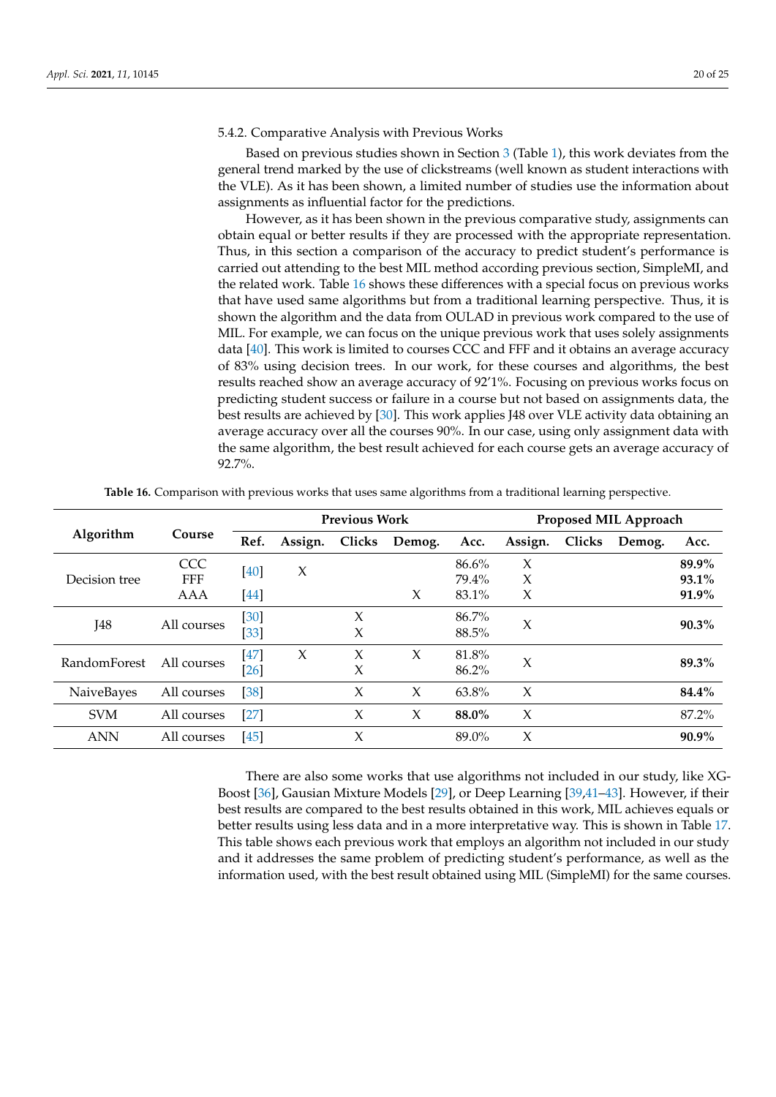#### 5.4.2. Comparative Analysis with Previous Works

Based on previous studies shown in Section [3](#page-3-0) (Table [1\)](#page-5-0), this work deviates from the general trend marked by the use of clickstreams (well known as student interactions with the VLE). As it has been shown, a limited number of studies use the information about assignments as influential factor for the predictions.

However, as it has been shown in the previous comparative study, assignments can obtain equal or better results if they are processed with the appropriate representation. Thus, in this section a comparison of the accuracy to predict student's performance is carried out attending to the best MIL method according previous section, SimpleMI, and the related work. Table [16](#page-19-0) shows these differences with a special focus on previous works that have used same algorithms but from a traditional learning perspective. Thus, it is shown the algorithm and the data from OULAD in previous work compared to the use of MIL. For example, we can focus on the unique previous work that uses solely assignments data [\[40\]](#page-23-3). This work is limited to courses CCC and FFF and it obtains an average accuracy of 83% using decision trees. In our work, for these courses and algorithms, the best results reached show an average accuracy of 92'1%. Focusing on previous works focus on predicting student success or failure in a course but not based on assignments data, the best results are achieved by [\[30\]](#page-22-28). This work applies J48 over VLE activity data obtaining an average accuracy over all the courses 90%. In our case, using only assignment data with the same algorithm, the best result achieved for each course gets an average accuracy of 92.7%.

<span id="page-19-0"></span>

|                     |                          |              |         | <b>Previous Work</b> |        | Proposed MIL Approach |         |        |        |                |  |
|---------------------|--------------------------|--------------|---------|----------------------|--------|-----------------------|---------|--------|--------|----------------|--|
| Algorithm           | Course                   | Ref.         | Assign. | Clicks               | Demog. | Acc.                  | Assign. | Clicks | Demog. | Acc.           |  |
| Decision tree       | <b>CCC</b><br><b>FFF</b> | $[40]$       | $\chi$  |                      |        | 86.6%<br>79.4%        | X<br>X  |        |        | 89.9%<br>93.1% |  |
|                     | AAA                      | <b>44</b>    |         |                      | X      | 83.1%                 | X       |        |        | 91.9%          |  |
| I48                 | All courses              | [30]<br>[33] |         | X<br>X               |        | 86.7%<br>88.5%        | X       |        |        | $90.3\%$       |  |
| <b>RandomForest</b> | All courses              | [47]<br>[26] | $\chi$  | $\chi$<br>X          | $\chi$ | 81.8%<br>86.2%        | X       |        |        | 89.3%          |  |
| NaiveBayes          | All courses              | $[38]$       |         | $\chi$               | $\chi$ | 63.8%                 | $\chi$  |        |        | 84.4%          |  |
| <b>SVM</b>          | All courses              | $[27]$       |         | X                    | X      | 88.0%                 | $\chi$  |        |        | 87.2%          |  |
| <b>ANN</b>          | All courses              | [45]         |         | $\chi$               |        | $89.0\%$              | X       |        |        | $90.9\%$       |  |

**Table 16.** Comparison with previous works that uses same algorithms from a traditional learning perspective.

There are also some works that use algorithms not included in our study, like XG-Boost [\[36\]](#page-23-1), Gausian Mixture Models [\[29\]](#page-22-24), or Deep Learning [\[39](#page-23-2)[,41](#page-23-4)[–43\]](#page-23-5). However, if their best results are compared to the best results obtained in this work, MIL achieves equals or better results using less data and in a more interpretative way. This is shown in Table [17.](#page-20-1) This table shows each previous work that employs an algorithm not included in our study and it addresses the same problem of predicting student's performance, as well as the information used, with the best result obtained using MIL (SimpleMI) for the same courses.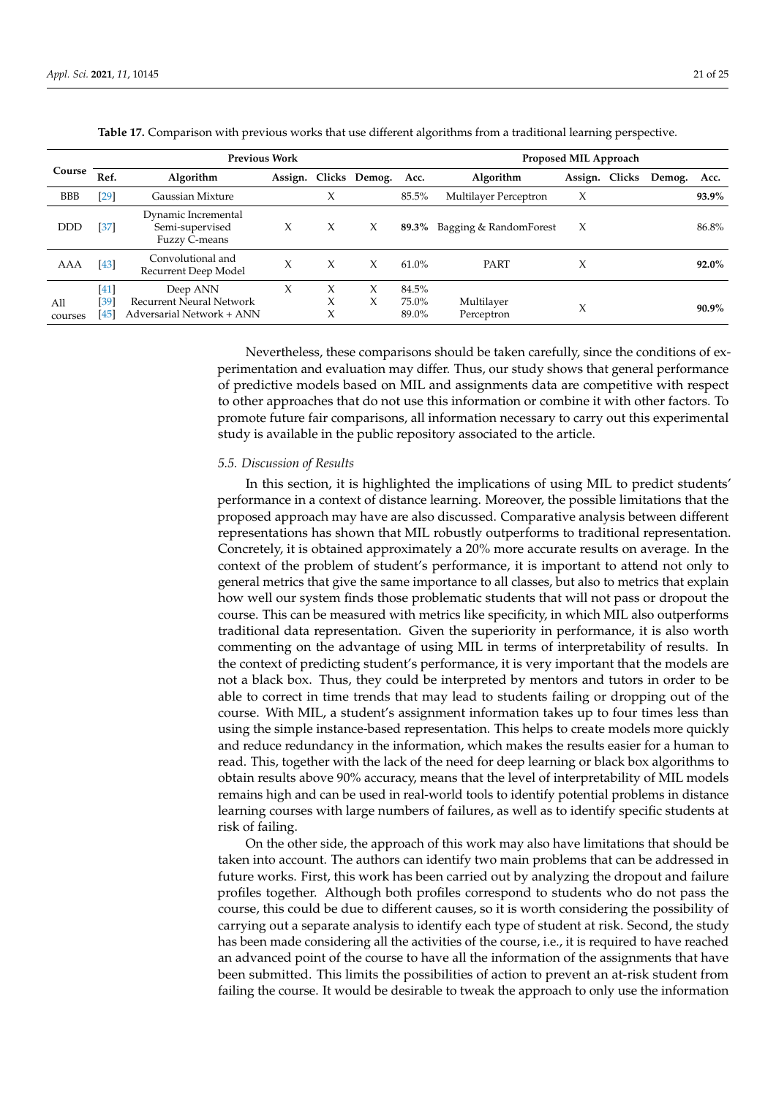<span id="page-20-1"></span>

| <b>Previous Work</b> |                        |                                                                          |   |             |                       | Proposed MIL Approach      |                          |         |        |        |          |  |
|----------------------|------------------------|--------------------------------------------------------------------------|---|-------------|-----------------------|----------------------------|--------------------------|---------|--------|--------|----------|--|
| Course               | Ref.                   | Algorithm                                                                |   |             | Assign. Clicks Demog. | Acc.                       | <b>Algorithm</b>         | Assign. | Clicks | Demog. | Acc.     |  |
| <b>BBB</b>           | $[29]$                 | Gaussian Mixture                                                         |   | X           |                       | 85.5%                      | Multilayer Perceptron    | X       |        |        | 93.9%    |  |
| DDD                  | $[37]$                 | Dynamic Incremental<br>Semi-supervised<br>Fuzzy C-means                  | X | X           | X                     | 89.3%                      | Bagging & RandomForest   | X       |        |        | 86.8%    |  |
| AAA                  | $[43]$                 | Convolutional and<br>Recurrent Deep Model                                | X | X           | X                     | $61.0\%$                   | PART                     | X       |        |        | 92.0%    |  |
| All<br>courses       | $[41]$<br>[39]<br>[45] | Deep ANN<br><b>Recurrent Neural Network</b><br>Adversarial Network + ANN | X | Х<br>X<br>Х | Х<br>X                | 84.5%<br>$75.0\%$<br>89.0% | Multilayer<br>Perceptron | X       |        |        | $90.9\%$ |  |

**Table 17.** Comparison with previous works that use different algorithms from a traditional learning perspective.

Nevertheless, these comparisons should be taken carefully, since the conditions of experimentation and evaluation may differ. Thus, our study shows that general performance of predictive models based on MIL and assignments data are competitive with respect to other approaches that do not use this information or combine it with other factors. To promote future fair comparisons, all information necessary to carry out this experimental study is available in the public repository associated to the article.

#### <span id="page-20-0"></span>*5.5. Discussion of Results*

In this section, it is highlighted the implications of using MIL to predict students' performance in a context of distance learning. Moreover, the possible limitations that the proposed approach may have are also discussed. Comparative analysis between different representations has shown that MIL robustly outperforms to traditional representation. Concretely, it is obtained approximately a 20% more accurate results on average. In the context of the problem of student's performance, it is important to attend not only to general metrics that give the same importance to all classes, but also to metrics that explain how well our system finds those problematic students that will not pass or dropout the course. This can be measured with metrics like specificity, in which MIL also outperforms traditional data representation. Given the superiority in performance, it is also worth commenting on the advantage of using MIL in terms of interpretability of results. In the context of predicting student's performance, it is very important that the models are not a black box. Thus, they could be interpreted by mentors and tutors in order to be able to correct in time trends that may lead to students failing or dropping out of the course. With MIL, a student's assignment information takes up to four times less than using the simple instance-based representation. This helps to create models more quickly and reduce redundancy in the information, which makes the results easier for a human to read. This, together with the lack of the need for deep learning or black box algorithms to obtain results above 90% accuracy, means that the level of interpretability of MIL models remains high and can be used in real-world tools to identify potential problems in distance learning courses with large numbers of failures, as well as to identify specific students at risk of failing.

On the other side, the approach of this work may also have limitations that should be taken into account. The authors can identify two main problems that can be addressed in future works. First, this work has been carried out by analyzing the dropout and failure profiles together. Although both profiles correspond to students who do not pass the course, this could be due to different causes, so it is worth considering the possibility of carrying out a separate analysis to identify each type of student at risk. Second, the study has been made considering all the activities of the course, i.e., it is required to have reached an advanced point of the course to have all the information of the assignments that have been submitted. This limits the possibilities of action to prevent an at-risk student from failing the course. It would be desirable to tweak the approach to only use the information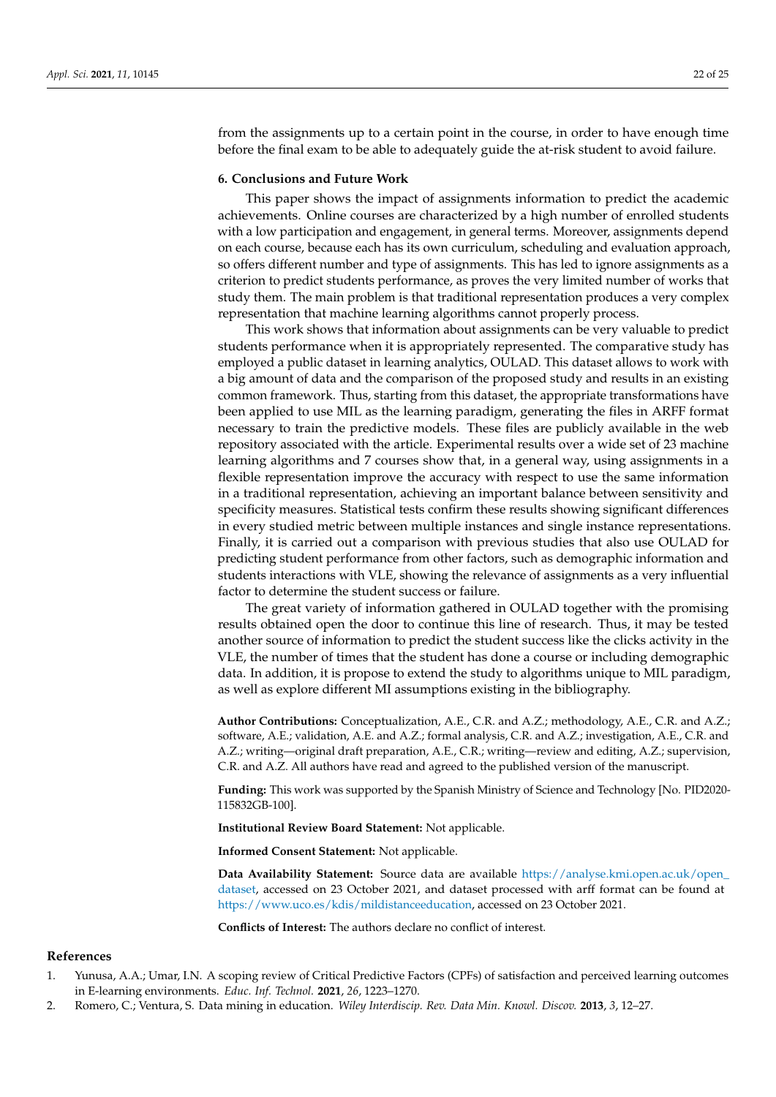from the assignments up to a certain point in the course, in order to have enough time before the final exam to be able to adequately guide the at-risk student to avoid failure.

#### <span id="page-21-2"></span>**6. Conclusions and Future Work**

This paper shows the impact of assignments information to predict the academic achievements. Online courses are characterized by a high number of enrolled students with a low participation and engagement, in general terms. Moreover, assignments depend on each course, because each has its own curriculum, scheduling and evaluation approach, so offers different number and type of assignments. This has led to ignore assignments as a criterion to predict students performance, as proves the very limited number of works that study them. The main problem is that traditional representation produces a very complex representation that machine learning algorithms cannot properly process.

This work shows that information about assignments can be very valuable to predict students performance when it is appropriately represented. The comparative study has employed a public dataset in learning analytics, OULAD. This dataset allows to work with a big amount of data and the comparison of the proposed study and results in an existing common framework. Thus, starting from this dataset, the appropriate transformations have been applied to use MIL as the learning paradigm, generating the files in ARFF format necessary to train the predictive models. These files are publicly available in the web repository associated with the article. Experimental results over a wide set of 23 machine learning algorithms and 7 courses show that, in a general way, using assignments in a flexible representation improve the accuracy with respect to use the same information in a traditional representation, achieving an important balance between sensitivity and specificity measures. Statistical tests confirm these results showing significant differences in every studied metric between multiple instances and single instance representations. Finally, it is carried out a comparison with previous studies that also use OULAD for predicting student performance from other factors, such as demographic information and students interactions with VLE, showing the relevance of assignments as a very influential factor to determine the student success or failure.

The great variety of information gathered in OULAD together with the promising results obtained open the door to continue this line of research. Thus, it may be tested another source of information to predict the student success like the clicks activity in the VLE, the number of times that the student has done a course or including demographic data. In addition, it is propose to extend the study to algorithms unique to MIL paradigm, as well as explore different MI assumptions existing in the bibliography.

**Author Contributions:** Conceptualization, A.E., C.R. and A.Z.; methodology, A.E., C.R. and A.Z.; software, A.E.; validation, A.E. and A.Z.; formal analysis, C.R. and A.Z.; investigation, A.E., C.R. and A.Z.; writing—original draft preparation, A.E., C.R.; writing—review and editing, A.Z.; supervision, C.R. and A.Z. All authors have read and agreed to the published version of the manuscript.

**Funding:** This work was supported by the Spanish Ministry of Science and Technology [No. PID2020- 115832GB-100].

**Institutional Review Board Statement:** Not applicable.

**Informed Consent Statement:** Not applicable.

**Data Availability Statement:** Source data are available [https://analyse.kmi.open.ac.uk/open\\_](https://analyse.kmi.open.ac.uk/open_dataset) [dataset,](https://analyse.kmi.open.ac.uk/open_dataset) accessed on 23 October 2021, and dataset processed with arff format can be found at [https://www.uco.es/kdis/mildistanceeducation,](https://www.uco.es/kdis/mildistanceeducation) accessed on 23 October 2021.

**Conflicts of Interest:** The authors declare no conflict of interest.

#### **References**

- <span id="page-21-0"></span>1. Yunusa, A.A.; Umar, I.N. A scoping review of Critical Predictive Factors (CPFs) of satisfaction and perceived learning outcomes in E-learning environments. *Educ. Inf. Technol.* **2021**, *26*, 1223–1270.
- <span id="page-21-1"></span>2. Romero, C.; Ventura, S. Data mining in education. *Wiley Interdiscip. Rev. Data Min. Knowl. Discov.* **2013**, *3*, 12–27.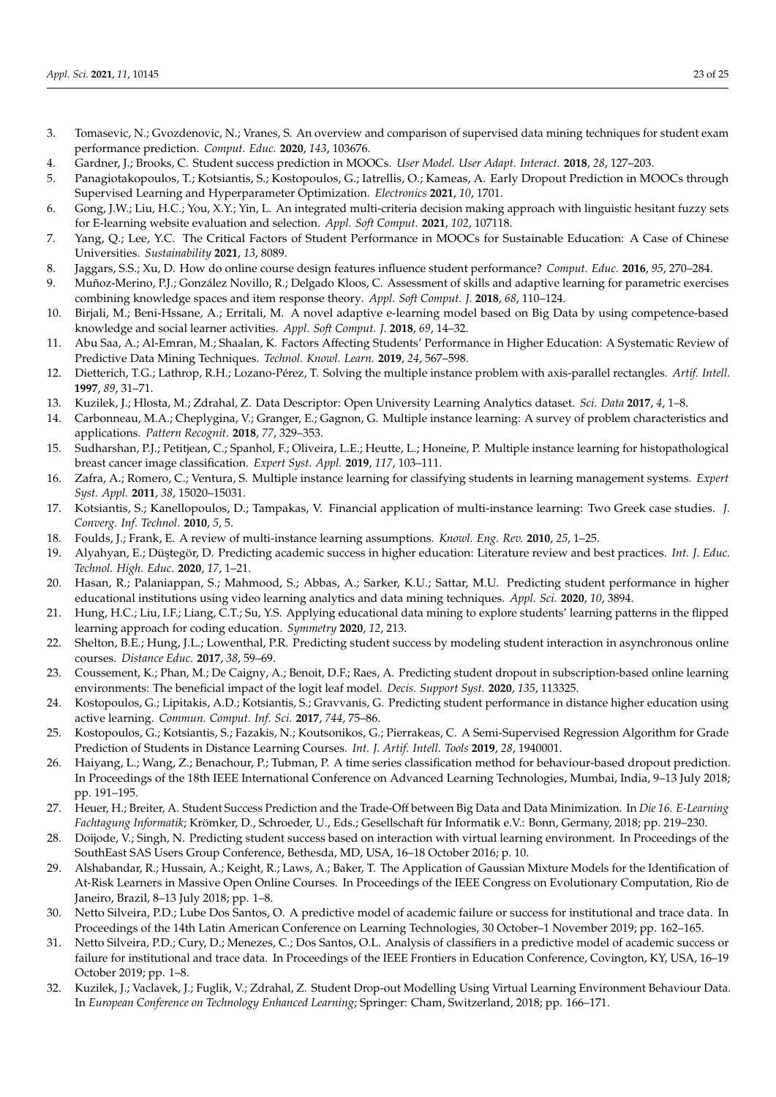- <span id="page-22-0"></span>3. Tomasevic, N.; Gvozdenovic, N.; Vranes, S. An overview and comparison of supervised data mining techniques for student exam performance prediction. *Comput. Educ.* **2020**, *143*, 103676.
- <span id="page-22-1"></span>4. Gardner, J.; Brooks, C. Student success prediction in MOOCs. *User Model. User Adapt. Interact.* **2018**, *28*, 127–203.
- <span id="page-22-2"></span>5. Panagiotakopoulos, T.; Kotsiantis, S.; Kostopoulos, G.; Iatrellis, O.; Kameas, A. Early Dropout Prediction in MOOCs through Supervised Learning and Hyperparameter Optimization. *Electronics* **2021**, *10*, 1701.
- <span id="page-22-3"></span>6. Gong, J.W.; Liu, H.C.; You, X.Y.; Yin, L. An integrated multi-criteria decision making approach with linguistic hesitant fuzzy sets for E-learning website evaluation and selection. *Appl. Soft Comput.* **2021**, *102*, 107118.
- <span id="page-22-4"></span>7. Yang, Q.; Lee, Y.C. The Critical Factors of Student Performance in MOOCs for Sustainable Education: A Case of Chinese Universities. *Sustainability* **2021**, *13*, 8089.
- <span id="page-22-5"></span>8. Jaggars, S.S.; Xu, D. How do online course design features influence student performance? *Comput. Educ.* **2016**, *95*, 270–284.
- <span id="page-22-6"></span>9. Muñoz-Merino, P.J.; González Novillo, R.; Delgado Kloos, C. Assessment of skills and adaptive learning for parametric exercises combining knowledge spaces and item response theory. *Appl. Soft Comput. J.* **2018**, *68*, 110–124.
- <span id="page-22-7"></span>10. Birjali, M.; Beni-Hssane, A.; Erritali, M. A novel adaptive e-learning model based on Big Data by using competence-based knowledge and social learner activities. *Appl. Soft Comput. J.* **2018**, *69*, 14–32.
- <span id="page-22-8"></span>11. Abu Saa, A.; Al-Emran, M.; Shaalan, K. Factors Affecting Students' Performance in Higher Education: A Systematic Review of Predictive Data Mining Techniques. *Technol. Knowl. Learn.* **2019**, *24*, 567–598.
- <span id="page-22-9"></span>12. Dietterich, T.G.; Lathrop, R.H.; Lozano-Pérez, T. Solving the multiple instance problem with axis-parallel rectangles. *Artif. Intell.* **1997**, *89*, 31–71.
- <span id="page-22-10"></span>13. Kuzilek, J.; Hlosta, M.; Zdrahal, Z. Data Descriptor: Open University Learning Analytics dataset. *Sci. Data* **2017**, *4*, 1–8.
- <span id="page-22-11"></span>14. Carbonneau, M.A.; Cheplygina, V.; Granger, E.; Gagnon, G. Multiple instance learning: A survey of problem characteristics and applications. *Pattern Recognit.* **2018**, *77*, 329–353.
- <span id="page-22-12"></span>15. Sudharshan, P.J.; Petitjean, C.; Spanhol, F.; Oliveira, L.E.; Heutte, L.; Honeine, P. Multiple instance learning for histopathological breast cancer image classification. *Expert Syst. Appl.* **2019**, *117*, 103–111.
- <span id="page-22-13"></span>16. Zafra, A.; Romero, C.; Ventura, S. Multiple instance learning for classifying students in learning management systems. *Expert Syst. Appl.* **2011**, *38*, 15020–15031.
- <span id="page-22-14"></span>17. Kotsiantis, S.; Kanellopoulos, D.; Tampakas, V. Financial application of multi-instance learning: Two Greek case studies. *J. Converg. Inf. Technol.* **2010**, *5*, 5.
- <span id="page-22-15"></span>18. Foulds, J.; Frank, E. A review of multi-instance learning assumptions. *Knowl. Eng. Rev.* **2010**, *25*, 1–25.
- <span id="page-22-16"></span>19. Alyahyan, E.; Düştegör, D. Predicting academic success in higher education: Literature review and best practices. *Int. J. Educ. Technol. High. Educ.* **2020**, *17*, 1–21.
- <span id="page-22-17"></span>20. Hasan, R.; Palaniappan, S.; Mahmood, S.; Abbas, A.; Sarker, K.U.; Sattar, M.U. Predicting student performance in higher educational institutions using video learning analytics and data mining techniques. *Appl. Sci.* **2020**, *10*, 3894.
- <span id="page-22-18"></span>21. Hung, H.C.; Liu, I.F.; Liang, C.T.; Su, Y.S. Applying educational data mining to explore students' learning patterns in the flipped learning approach for coding education. *Symmetry* **2020**, *12*, 213.
- <span id="page-22-19"></span>22. Shelton, B.E.; Hung, J.L.; Lowenthal, P.R. Predicting student success by modeling student interaction in asynchronous online courses. *Distance Educ.* **2017**, *38*, 59–69.
- <span id="page-22-20"></span>23. Coussement, K.; Phan, M.; De Caigny, A.; Benoit, D.F.; Raes, A. Predicting student dropout in subscription-based online learning environments: The beneficial impact of the logit leaf model. *Decis. Support Syst.* **2020**, *135*, 113325.
- <span id="page-22-21"></span>24. Kostopoulos, G.; Lipitakis, A.D.; Kotsiantis, S.; Gravvanis, G. Predicting student performance in distance higher education using active learning. *Commun. Comput. Inf. Sci.* **2017**, *744*, 75–86.
- <span id="page-22-22"></span>25. Kostopoulos, G.; Kotsiantis, S.; Fazakis, N.; Koutsonikos, G.; Pierrakeas, C. A Semi-Supervised Regression Algorithm for Grade Prediction of Students in Distance Learning Courses. *Int. J. Artif. Intell. Tools* **2019**, *28*, 1940001.
- <span id="page-22-23"></span>26. Haiyang, L.; Wang, Z.; Benachour, P.; Tubman, P. A time series classification method for behaviour-based dropout prediction. In Proceedings of the 18th IEEE International Conference on Advanced Learning Technologies, Mumbai, India, 9–13 July 2018; pp. 191–195.
- <span id="page-22-25"></span>27. Heuer, H.; Breiter, A. Student Success Prediction and the Trade-Off between Big Data and Data Minimization. In *Die 16. E-Learning Fachtagung Informatik*; Krömker, D., Schroeder, U., Eds.; Gesellschaft für Informatik e.V.: Bonn, Germany, 2018; pp. 219–230.
- <span id="page-22-26"></span>28. Doijode, V.; Singh, N. Predicting student success based on interaction with virtual learning environment. In Proceedings of the SouthEast SAS Users Group Conference, Bethesda, MD, USA, 16–18 October 2016; p. 10.
- <span id="page-22-24"></span>29. Alshabandar, R.; Hussain, A.; Keight, R.; Laws, A.; Baker, T. The Application of Gaussian Mixture Models for the Identification of At-Risk Learners in Massive Open Online Courses. In Proceedings of the IEEE Congress on Evolutionary Computation, Rio de Janeiro, Brazil, 8–13 July 2018; pp. 1–8.
- <span id="page-22-28"></span>30. Netto Silveira, P.D.; Lube Dos Santos, O. A predictive model of academic failure or success for institutional and trace data. In Proceedings of the 14th Latin American Conference on Learning Technologies, 30 October–1 November 2019; pp. 162–165.
- <span id="page-22-29"></span>31. Netto Silveira, P.D.; Cury, D.; Menezes, C.; Dos Santos, O.L. Analysis of classifiers in a predictive model of academic success or failure for institutional and trace data. In Proceedings of the IEEE Frontiers in Education Conference, Covington, KY, USA, 16–19 October 2019; pp. 1–8.
- <span id="page-22-27"></span>32. Kuzilek, J.; Vaclavek, J.; Fuglik, V.; Zdrahal, Z. Student Drop-out Modelling Using Virtual Learning Environment Behaviour Data. In *European Conference on Technology Enhanced Learning*; Springer: Cham, Switzerland, 2018; pp. 166–171.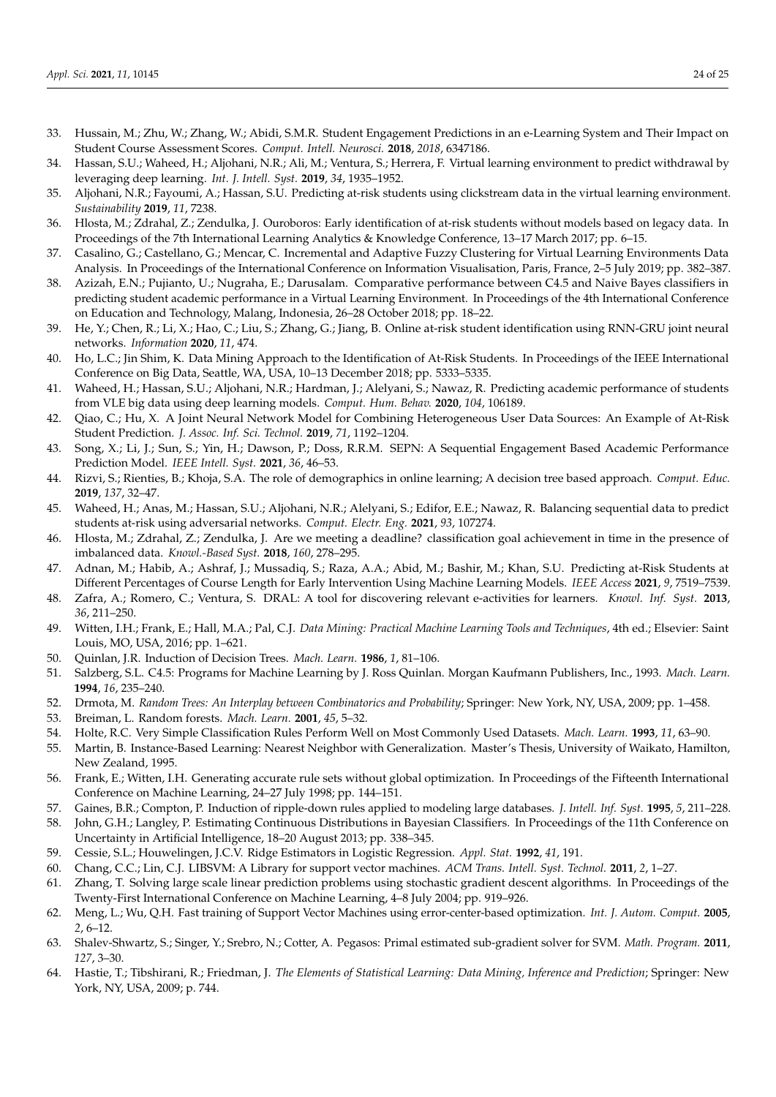- <span id="page-23-8"></span>33. Hussain, M.; Zhu, W.; Zhang, W.; Abidi, S.M.R. Student Engagement Predictions in an e-Learning System and Their Impact on Student Course Assessment Scores. *Comput. Intell. Neurosci.* **2018**, *2018*, 6347186.
- <span id="page-23-12"></span>34. Hassan, S.U.; Waheed, H.; Aljohani, N.R.; Ali, M.; Ventura, S.; Herrera, F. Virtual learning environment to predict withdrawal by leveraging deep learning. *Int. J. Intell. Syst.* **2019**, *34*, 1935–1952.
- <span id="page-23-0"></span>35. Aljohani, N.R.; Fayoumi, A.; Hassan, S.U. Predicting at-risk students using clickstream data in the virtual learning environment. *Sustainability* **2019**, *11*, 7238.
- <span id="page-23-1"></span>36. Hlosta, M.; Zdrahal, Z.; Zendulka, J. Ouroboros: Early identification of at-risk students without models based on legacy data. In Proceedings of the 7th International Learning Analytics & Knowledge Conference, 13–17 March 2017; pp. 6–15.
- <span id="page-23-6"></span>37. Casalino, G.; Castellano, G.; Mencar, C. Incremental and Adaptive Fuzzy Clustering for Virtual Learning Environments Data Analysis. In Proceedings of the International Conference on Information Visualisation, Paris, France, 2–5 July 2019; pp. 382–387.
- <span id="page-23-11"></span>38. Azizah, E.N.; Pujianto, U.; Nugraha, E.; Darusalam. Comparative performance between C4.5 and Naive Bayes classifiers in predicting student academic performance in a Virtual Learning Environment. In Proceedings of the 4th International Conference on Education and Technology, Malang, Indonesia, 26–28 October 2018; pp. 18–22.
- <span id="page-23-2"></span>39. He, Y.; Chen, R.; Li, X.; Hao, C.; Liu, S.; Zhang, G.; Jiang, B. Online at-risk student identification using RNN-GRU joint neural networks. *Information* **2020**, *11*, 474.
- <span id="page-23-3"></span>40. Ho, L.C.; Jin Shim, K. Data Mining Approach to the Identification of At-Risk Students. In Proceedings of the IEEE International Conference on Big Data, Seattle, WA, USA, 10–13 December 2018; pp. 5333–5335.
- <span id="page-23-4"></span>41. Waheed, H.; Hassan, S.U.; Aljohani, N.R.; Hardman, J.; Alelyani, S.; Nawaz, R. Predicting academic performance of students from VLE big data using deep learning models. *Comput. Hum. Behav.* **2020**, *104*, 106189.
- <span id="page-23-14"></span>42. Qiao, C.; Hu, X. A Joint Neural Network Model for Combining Heterogeneous User Data Sources: An Example of At-Risk Student Prediction. *J. Assoc. Inf. Sci. Technol.* **2019**, *71*, 1192–1204.
- <span id="page-23-5"></span>43. Song, X.; Li, J.; Sun, S.; Yin, H.; Dawson, P.; Doss, R.R.M. SEPN: A Sequential Engagement Based Academic Performance Prediction Model. *IEEE Intell. Syst.* **2021**, *36*, 46–53.
- <span id="page-23-10"></span>44. Rizvi, S.; Rienties, B.; Khoja, S.A. The role of demographics in online learning; A decision tree based approach. *Comput. Educ.* **2019**, *137*, 32–47.
- <span id="page-23-7"></span>45. Waheed, H.; Anas, M.; Hassan, S.U.; Aljohani, N.R.; Alelyani, S.; Edifor, E.E.; Nawaz, R. Balancing sequential data to predict students at-risk using adversarial networks. *Comput. Electr. Eng.* **2021**, *93*, 107274.
- <span id="page-23-9"></span>46. Hlosta, M.; Zdrahal, Z.; Zendulka, J. Are we meeting a deadline? classification goal achievement in time in the presence of imbalanced data. *Knowl.-Based Syst.* **2018**, *160*, 278–295.
- <span id="page-23-13"></span>47. Adnan, M.; Habib, A.; Ashraf, J.; Mussadiq, S.; Raza, A.A.; Abid, M.; Bashir, M.; Khan, S.U. Predicting at-Risk Students at Different Percentages of Course Length for Early Intervention Using Machine Learning Models. *IEEE Access* **2021**, *9*, 7519–7539.
- <span id="page-23-15"></span>48. Zafra, A.; Romero, C.; Ventura, S. DRAL: A tool for discovering relevant e-activities for learners. *Knowl. Inf. Syst.* **2013**, *36*, 211–250.
- <span id="page-23-16"></span>49. Witten, I.H.; Frank, E.; Hall, M.A.; Pal, C.J. *Data Mining: Practical Machine Learning Tools and Techniques*, 4th ed.; Elsevier: Saint Louis, MO, USA, 2016; pp. 1–621.
- <span id="page-23-17"></span>50. Quinlan, J.R. Induction of Decision Trees. *Mach. Learn.* **1986**, *1*, 81–106.
- <span id="page-23-18"></span>51. Salzberg, S.L. C4.5: Programs for Machine Learning by J. Ross Quinlan. Morgan Kaufmann Publishers, Inc., 1993. *Mach. Learn.* **1994**, *16*, 235–240.
- <span id="page-23-19"></span>52. Drmota, M. *Random Trees: An Interplay between Combinatorics and Probability*; Springer: New York, NY, USA, 2009; pp. 1–458.
- <span id="page-23-20"></span>53. Breiman, L. Random forests. *Mach. Learn.* **2001**, *45*, 5–32.
- <span id="page-23-21"></span>54. Holte, R.C. Very Simple Classification Rules Perform Well on Most Commonly Used Datasets. *Mach. Learn.* **1993**, *11*, 63–90.
- <span id="page-23-22"></span>55. Martin, B. Instance-Based Learning: Nearest Neighbor with Generalization. Master's Thesis, University of Waikato, Hamilton, New Zealand, 1995.
- <span id="page-23-23"></span>56. Frank, E.; Witten, I.H. Generating accurate rule sets without global optimization. In Proceedings of the Fifteenth International Conference on Machine Learning, 24–27 July 1998; pp. 144–151.
- <span id="page-23-24"></span>57. Gaines, B.R.; Compton, P. Induction of ripple-down rules applied to modeling large databases. *J. Intell. Inf. Syst.* **1995**, *5*, 211–228.
- <span id="page-23-25"></span>58. John, G.H.; Langley, P. Estimating Continuous Distributions in Bayesian Classifiers. In Proceedings of the 11th Conference on Uncertainty in Artificial Intelligence, 18–20 August 2013; pp. 338–345.
- <span id="page-23-26"></span>59. Cessie, S.L.; Houwelingen, J.C.V. Ridge Estimators in Logistic Regression. *Appl. Stat.* **1992**, *41*, 191.
- <span id="page-23-27"></span>60. Chang, C.C.; Lin, C.J. LIBSVM: A Library for support vector machines. *ACM Trans. Intell. Syst. Technol.* **2011**, *2*, 1–27.
- <span id="page-23-28"></span>61. Zhang, T. Solving large scale linear prediction problems using stochastic gradient descent algorithms. In Proceedings of the Twenty-First International Conference on Machine Learning, 4–8 July 2004; pp. 919–926.
- <span id="page-23-29"></span>62. Meng, L.; Wu, Q.H. Fast training of Support Vector Machines using error-center-based optimization. *Int. J. Autom. Comput.* **2005**, *2*, 6–12.
- <span id="page-23-30"></span>63. Shalev-Shwartz, S.; Singer, Y.; Srebro, N.; Cotter, A. Pegasos: Primal estimated sub-gradient solver for SVM. *Math. Program.* **2011**, *127*, 3–30.
- <span id="page-23-31"></span>64. Hastie, T.; Tibshirani, R.; Friedman, J. *The Elements of Statistical Learning: Data Mining, Inference and Prediction*; Springer: New York, NY, USA, 2009; p. 744.